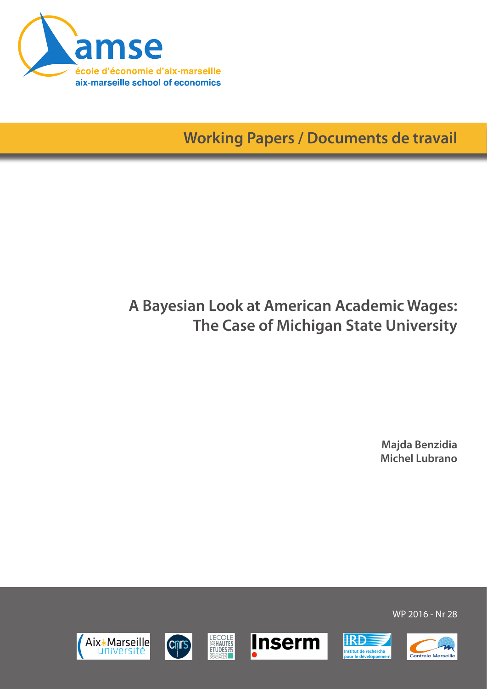

**Working Papers / Documents de travail**

# **A Bayesian Look at American Academic Wages: The Case of Michigan State University**

**Majda Benzidia Michel Lubrano**

Aix\*Marseille université











WP 2016 - Nr 28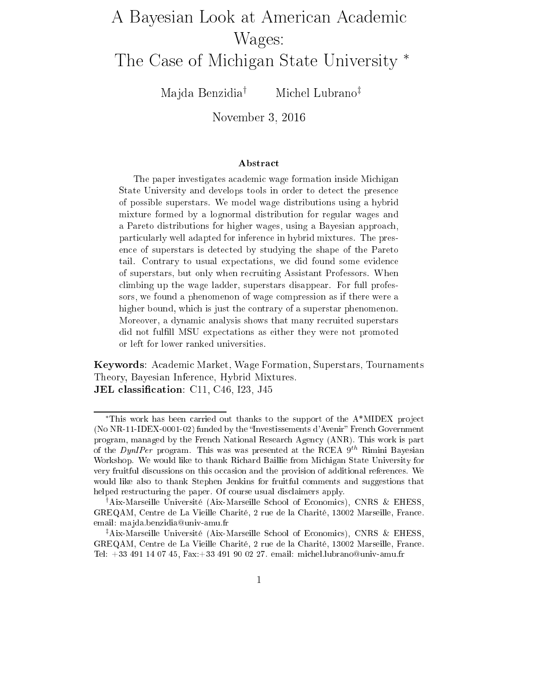# A Bayesian Look at American Academic Wages:

The Case of Michigan State University ∗

Ma jda Benzidia† Michel Lubrano‡

November 3, <sup>2016</sup>

#### Abstract

The paper investigates academic wage formation inside Michigan State University and develops tools in order to detect the presence of possible superstars. We model wage distributions using a hybrid mixture formed by a lognormal distribution for regular wages and a Pareto distributions for higher wages, using a Bayesian approach, particularly well adapted for inference in hybrid mixtures. The presence of superstars is detected by studying the shape of the Pareto tail. Contrary to usual expectations, we did found some evidence of superstars, but only when recruiting Assistant Professors. When climbing up the wage ladder, superstars disappear. For full professors, we found a phenomenon of wage compression as if there were a higher bound, which is just the contrary of a superstar phenomenon. Moreover, a dynamic analysis shows that many recruited superstars did not fulfill MSU expectations as either they were not promoted or left for lower ranked universities.

Keywords: Academic Market, Wage Formation, Superstars, Tournaments Theory, Bayesian Inference, Hybrid Mixtures.  ${\bf JEL}$  classification:  ${\rm C11}, {\rm C46}, {\rm I23}, {\rm J45}$ 

<sup>\*</sup>This work has been carried out thanks to the support of the  $A^*MIDEX$  project (No  $NR-11-IDEX-0001-02$ ) funded by the "Investissements d'Avenir" French Government program, managed by the French National Research Agency (ANR). This work is part of the  $DynIPer$  program. This was was presented at the RCEA  $9^{th}$  Rimini Bayesian Workshop. We would like to thank Richard Baillie from Michigan State University for very fruitful discussions on this occasion and the provision of additional references. We would like also to thank Stephen Jenkins for fruitful comments and suggestions that helped restructuring the paper. Of course usual disclaimers apply.

<sup>†</sup>Aix-Marseille Université (Aix-Marseille School of Economics), CNRS & EHESS, GREQAM, Centre de La Vieille Charité, 2 rue de la Charité, 13002 Marseille, France. email: ma jda.benzidia@univ-amu.fr

<sup>‡</sup>Aix-Marseille Université (Aix-Marseille School of Economics), CNRS & EHESS, GREQAM, Centre de La Vieille Charité, 2 rue de la Charité, 13002 Marseille, France. Tel: +33 491 14 07 45, Fax:+33 491 90 02 27. email: michel.lubrano@univ-amu.fr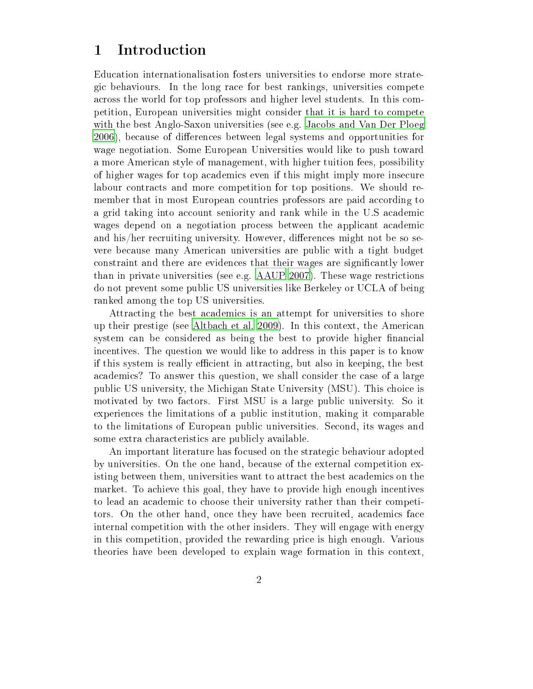## 1 Introduction

Education internationalisation fosters universities to endorse more strategic behaviours. In the long race for best rankings, universities compete across the world for top professors and higher level students. In this competition, European universities might consider that it is hard to compete with the best Anglo-Saxon universities (see e.g. [Jacobs](#page-38-0) and Van Der Ploeg [2006](#page-38-0)), because of differences between legal systems and opportunities for wage negotiation. Some European Universities would like to push toward a more American style of management, with higher tuition fees, possibility of higher wages for top academics even if this might imply more insecure labour contracts and more competition for top positions. We should remember that in most European countries professors are paid according to a grid taking into account seniority and rank while in the U.S academic wages depend on a negotiation process between the applicant academic and his/her recruiting university. However, differences might not be so severe because many American universities are public with a tight budget constraint and there are evidences that their wages are signicantly lower than in private universities (see e.g. [AAUP](#page-36-0) [2007\)](#page-36-0). These wage restrictions do not prevent some public US universities like Berkeley or UCLA of being ranked among the top US universities.

Attracting the best academics is an attempt for universities to shore up their prestige (see [Altbach](#page-36-1) et al. [2009\)](#page-36-1). In this context, the American system can be considered as being the best to provide higher financial incentives. The question we would like to address in this paper is to know if this system is really efficient in attracting, but also in keeping, the best academics? To answer this question, we shall consider the case of a large public US university, the Michigan State University (MSU). This choice is motivated by two factors. First MSU is a large public university. So it experiences the limitations of a public institution, making it comparable to the limitations of European public universities. Second, its wages and some extra characteristics are publicly available.

An important literature has focused on the strategic behaviour adopted by universities. On the one hand, because of the external competition existing between them, universities want to attract the best academics on the market. To achieve this goal, they have to provide high enough incentives to lead an academic to choose their university rather than their competitors. On the other hand, once they have been recruited, academics face internal competition with the other insiders. They will engage with energy in this competition, provided the rewarding price is high enough. Various theories have been developed to explain wage formation in this context,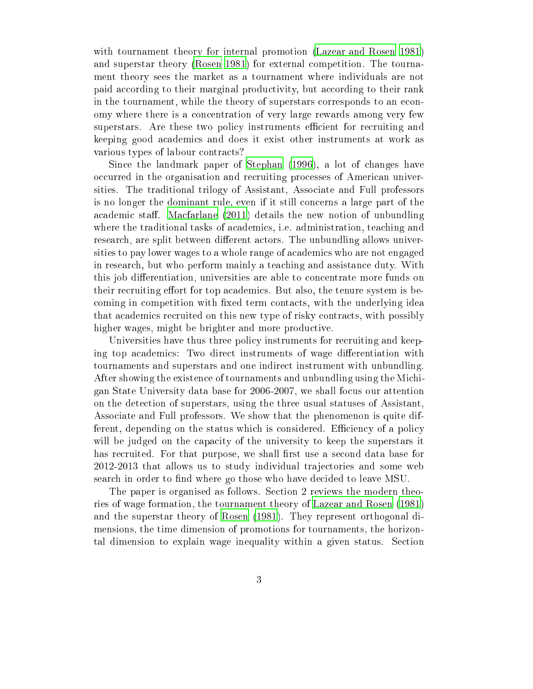with tournament theory for internal promotion [\(Lazear](#page-38-1) and Rosen [1981\)](#page-38-1) and superstar theory [\(Rosen](#page-39-0) [1981\)](#page-39-0) for external competition. The tournament theory sees the market as a tournament where individuals are not paid according to their marginal productivity, but according to their rank in the tournament, while the theory of superstars corresponds to an economy where there is a concentration of very large rewards among very few superstars. Are these two policy instruments efficient for recruiting and keeping good academics and does it exist other instruments at work as various types of labour contracts?

Since the landmark paper of [Stephan](#page-39-1) [\(1996](#page-39-1)), a lot of changes have occurred in the organisation and recruiting processes of American universities. The traditional trilogy of Assistant, Associate and Full professors is no longer the dominant rule, even if it still concerns a large part of the academic staff. [Macfarlane](#page-38-2)  $(2011)$  $(2011)$  details the new notion of unbundling where the traditional tasks of academics, i.e. administration, teaching and research, are split between different actors. The unbundling allows universities to pay lower wages to a whole range of academics who are not engaged in research, but who perform mainly a teaching and assistance duty. With this job differentiation, universities are able to concentrate more funds on their recruiting effort for top academics. But also, the tenure system is becoming in competition with fixed term contacts, with the underlying idea that academics recruited on this new type of risky contracts, with possibly higher wages, might be brighter and more productive.

Universities have thus three policy instruments for recruiting and keeping top academics: Two direct instruments of wage differentiation with tournaments and superstars and one indirect instrument with unbundling. After showing the existence of tournaments and unbundling using the Michigan State University data base for 2006-2007, we shall focus our attention on the detection of superstars, using the three usual statuses of Assistant, Associate and Full professors. We show that the phenomenon is quite different, depending on the status which is considered. Efficiency of a policy will be judged on the capacity of the university to keep the superstars it has recruited. For that purpose, we shall first use a second data base for 2012-2013 that allows us to study individual tra jectories and some web search in order to find where go those who have decided to leave MSU.

The paper is organised as follows. Section 2 reviews the modern theories of wage formation, the tournament theory of [Lazear](#page-38-1) and Rosen [\(1981](#page-38-1)) and the superstar theory of [Rosen](#page-39-0) [\(1981](#page-39-0)). They represent orthogonal dimensions, the time dimension of promotions for tournaments, the horizontal dimension to explain wage inequality within a given status. Section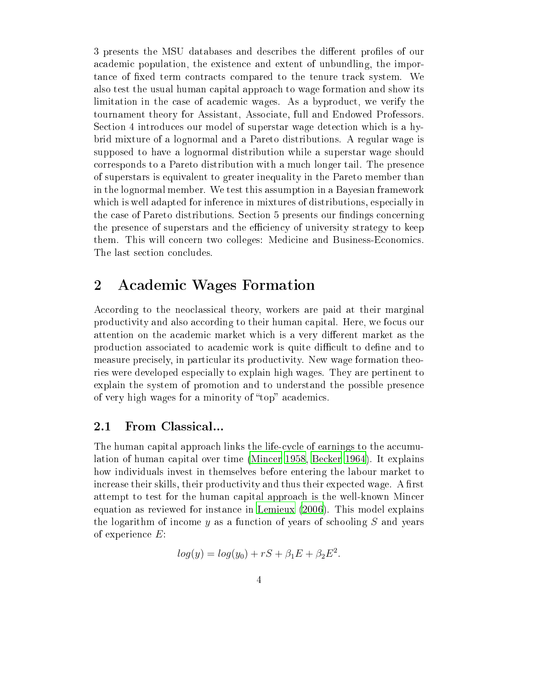3 presents the MSU databases and describes the different profiles of our academic population, the existence and extent of unbundling, the importance of fixed term contracts compared to the tenure track system. We also test the usual human capital approach to wage formation and show its limitation in the case of academic wages. As a byproduct, we verify the tournament theory for Assistant, Associate, full and Endowed Professors. Section 4 introduces our model of superstar wage detection which is a hybrid mixture of a lognormal and a Pareto distributions. A regular wage is supposed to have a lognormal distribution while a superstar wage should corresponds to a Pareto distribution with a much longer tail. The presence of superstars is equivalent to greater inequality in the Pareto member than in the lognormal member. We test this assumption in a Bayesian framework which is well adapted for inference in mixtures of distributions, especially in the case of Pareto distributions. Section 5 presents our findings concerning the presence of superstars and the efficiency of university strategy to keep them. This will concern two colleges: Medicine and Business-Economics. The last section concludes.

## <span id="page-4-0"></span>2 Academic Wages Formation

According to the neoclassical theory, workers are paid at their marginal productivity and also according to their human capital. Here, we focus our attention on the academic market which is a very different market as the production associated to academic work is quite difficult to define and to measure precisely, in particular its productivity. New wage formation theories were developed especially to explain high wages. They are pertinent to explain the system of promotion and to understand the possible presence of very high wages for a minority of "top" academics.

#### $2.1\,$ 2.1 From Classical...

The human capital approach links the life-cycle of earnings to the accumulation of human capital over time [\(Mincer](#page-38-3) [1958](#page-38-3), [Becker](#page-37-0) [1964](#page-37-0)). It explains how individuals invest in themselves before entering the labour market to increase their skills, their productivity and thus their expected wage. A first attempt to test for the human capital approach is the well-known Mincer equation as reviewed for instance in [Lemieux](#page-38-4) [\(2006](#page-38-4)). This model explains the logarithm of income  $y$  as a function of years of schooling S and years of experience  $E$ :

$$
log(y) = log(y0) + rS + \beta_1 E + \beta_2 E^2.
$$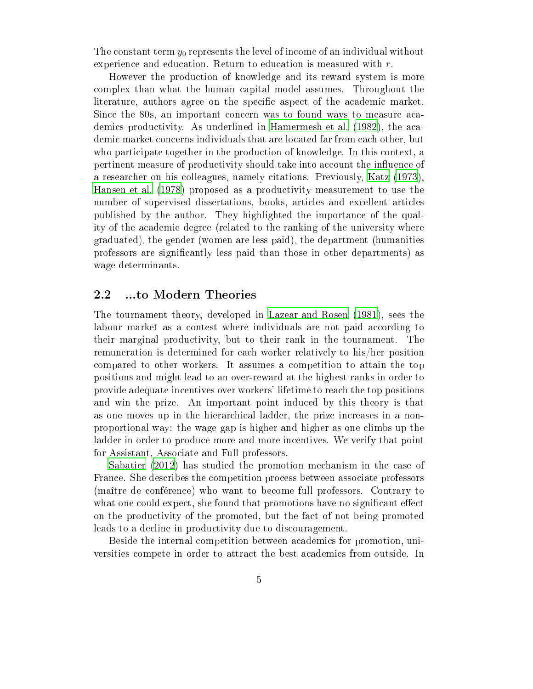The constant term  $y_0$  represents the level of income of an individual without experience and education. Return to education is measured with r.

However the production of knowledge and its reward system is more complex than what the human capital model assumes. Throughout the literature, authors agree on the specific aspect of the academic market. Since the 80s, an important concern was to found ways to measure academics productivity. As underlined in [Hamermesh](#page-38-5) et al. [\(1982](#page-38-5)), the academic market concerns individuals that are located far from each other, but who participate together in the production of knowledge. In this context, a pertinent measure of productivity should take into account the influence of a researcher on his colleagues, namely citations. Previously, [Katz](#page-38-6) [\(1973\)](#page-38-6), [Hansen](#page-38-7) et al. [\(1978\)](#page-38-7) proposed as a productivity measurement to use the number of supervised dissertations, books, articles and excellent articles published by the author. They highlighted the importance of the quality of the academic degree (related to the ranking of the university where graduated), the gender (women are less paid), the department (humanities professors are signicantly less paid than those in other departments) as wage determinants.

#### 2.2 ...to Modern Theories

The tournament theory, developed in [Lazear](#page-38-1) and Rosen [\(1981](#page-38-1)), sees the labour market as a contest where individuals are not paid according to their marginal productivity, but to their rank in the tournament. The remuneration is determined for each worker relatively to his/her position compared to other workers. It assumes a competition to attain the top positions and might lead to an over-reward at the highest ranks in order to provide adequate incentives over workers' lifetime to reach the top positions and win the prize. An important point induced by this theory is that as one moves up in the hierarchical ladder, the prize increases in a nonproportional way: the wage gap is higher and higher as one climbs up the ladder in order to produce more and more incentives. We verify that point for Assistant, Associate and Full professors.

[Sabatier](#page-39-2) [\(2012\)](#page-39-2) has studied the promotion mechanism in the case of France. She describes the competition process between associate professors (maître de conférence) who want to become full professors. Contrary to what one could expect, she found that promotions have no significant effect on the productivity of the promoted, but the fact of not being promoted leads to a decline in productivity due to discouragement.

Beside the internal competition between academics for promotion, universities compete in order to attract the best academics from outside. In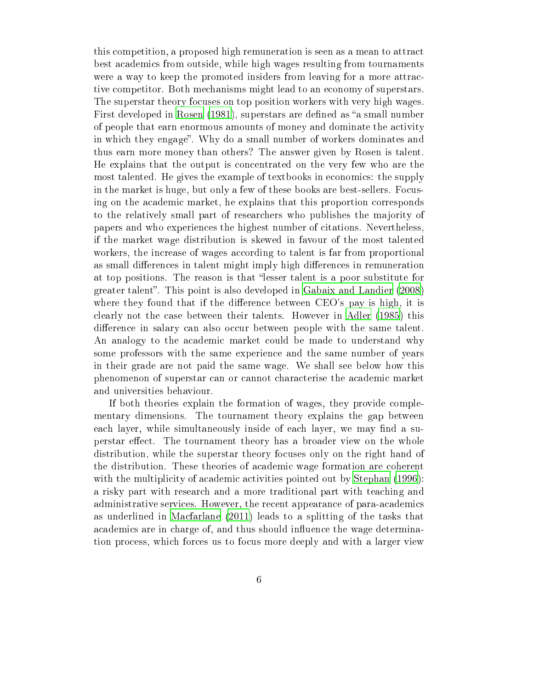this competition, a proposed high remuneration is seen as a mean to attract best academics from outside, while high wages resulting from tournaments were a way to keep the promoted insiders from leaving for a more attractive competitor. Both mechanisms might lead to an economy of superstars. The superstar theory focuses on top position workers with very high wages. First developed in [Rosen](#page-39-0) [\(1981](#page-39-0)), superstars are defined as "a small number of people that earn enormous amounts of money and dominate the activity in which they engage". Why do a small number of workers dominates and thus earn more money than others? The answer given by Rosen is talent. He explains that the output is concentrated on the very few who are the most talented. He gives the example of textbooks in economics: the supply in the market is huge, but only a few of these books are best-sellers. Focusing on the academic market, he explains that this proportion corresponds to the relatively small part of researchers who publishes the majority of papers and who experiences the highest number of citations. Nevertheless, if the market wage distribution is skewed in favour of the most talented workers, the increase of wages according to talent is far from proportional as small differences in talent might imply high differences in remuneration at top positions. The reason is that "lesser talent is a poor substitute for greater talent". This point is also developed in Gabaix and [Landier](#page-37-1) [\(2008\)](#page-37-1) where they found that if the difference between  $CEO's$  pay is high, it is clearly not the case between their talents. However in [Adler](#page-36-2) [\(1985](#page-36-2)) this difference in salary can also occur between people with the same talent. An analogy to the academic market could be made to understand why some professors with the same experience and the same number of years in their grade are not paid the same wage. We shall see below how this phenomenon of superstar can or cannot characterise the academic market and universities behaviour.

If both theories explain the formation of wages, they provide complementary dimensions. The tournament theory explains the gap between each layer, while simultaneously inside of each layer, we may find a superstar effect. The tournament theory has a broader view on the whole distribution, while the superstar theory focuses only on the right hand of the distribution. These theories of academic wage formation are coherent with the multiplicity of academic activities pointed out by [Stephan](#page-39-1) [\(1996\)](#page-39-1): a risky part with research and a more traditional part with teaching and administrative services. However, the recent appearance of para-academics as underlined in [Macfarlane](#page-38-2) [\(2011](#page-38-2)) leads to a splitting of the tasks that academics are in charge of, and thus should influence the wage determination process, which forces us to focus more deeply and with a larger view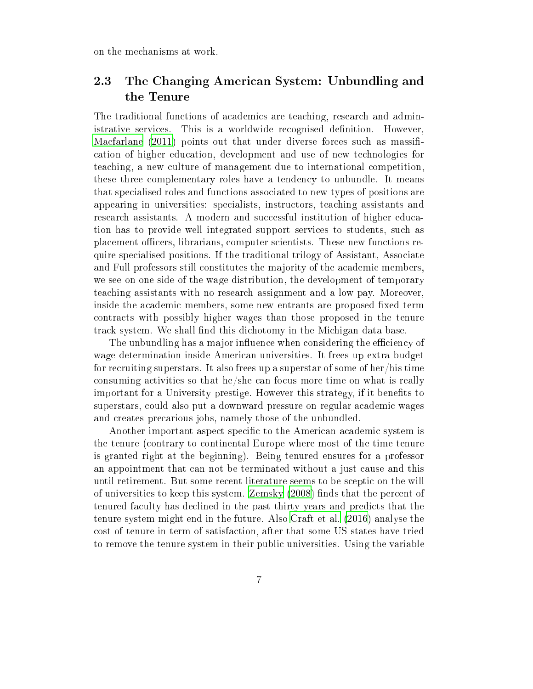on the mechanisms at work.

### 2.3 The Changing American System: Unbundling and the Tenure

The traditional functions of academics are teaching, research and administrative services. This is a worldwide recognised definition. However, [Macfarlane](#page-38-2)  $(2011)$  points out that under diverse forces such as massification of higher education, development and use of new technologies for teaching, a new culture of management due to international competition, these three complementary roles have a tendency to unbundle. It means that specialised roles and functions associated to new types of positions are appearing in universities: specialists, instructors, teaching assistants and research assistants. A modern and successful institution of higher education has to provide well integrated support services to students, such as placement officers, librarians, computer scientists. These new functions require specialised positions. If the traditional trilogy of Assistant, Associate and Full professors still constitutes the majority of the academic members, we see on one side of the wage distribution, the development of temporary teaching assistants with no research assignment and a low pay. Moreover, inside the academic members, some new entrants are proposed fixed term contracts with possibly higher wages than those proposed in the tenure track system. We shall find this dichotomy in the Michigan data base.

The unbundling has a major influence when considering the efficiency of wage determination inside American universities. It frees up extra budget for recruiting superstars. It also frees up a superstar of some of her/his time consuming activities so that he/she can focus more time on what is really important for a University prestige. However this strategy, if it benefits to superstars, could also put a downward pressure on regular academic wages and creates precarious jobs, namely those of the unbundled.

Another important aspect specific to the American academic system is the tenure (contrary to continental Europe where most of the time tenure is granted right at the beginning). Being tenured ensures for a professor an appointment that can not be terminated without a just cause and this until retirement. But some recent literature seems to be sceptic on the will of universities to keep this system. [Zemsky](#page-39-3) [\(2008](#page-39-3)) finds that the percent of tenured faculty has declined in the past thirty years and predicts that the tenure system might end in the future. Also [Craft](#page-37-2) et al. [\(2016\)](#page-37-2) analyse the cost of tenure in term of satisfaction, after that some US states have tried to remove the tenure system in their public universities. Using the variable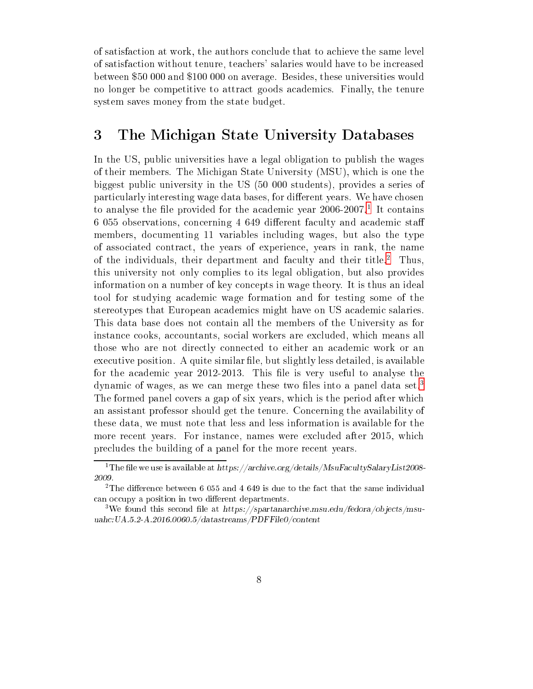of satisfaction at work, the authors conclude that to achieve the same level of satisfaction without tenure, teachers' salaries would have to be increased between \$50 000 and \$100 000 on average. Besides, these universities would no longer be competitive to attract goods academics. Finally, the tenure system saves money from the state budget.

### 3 The Michigan State University Databases

In the US, public universities have a legal obligation to publish the wages of their members. The Michigan State University (MSU), which is one the biggest public university in the US (50 000 students), provides a series of particularly interesting wage data bases, for different years. We have chosen to analyse the nie provided for the academic year 2006-2007. It contains 6 055 observations, concerning 4 649 different faculty and academic staff members, documenting 11 variables including wages, but also the type of associated contract, the years of experience, years in rank, the name of the individuals, their department and faculty and their title. Inus, this university not only complies to its legal obligation, but also provides information on a number of key concepts in wage theory. It is thus an ideal tool for studying academic wage formation and for testing some of the stereotypes that European academics might have on US academic salaries. This data base does not contain all the members of the University as for instance cooks, accountants, social workers are excluded, which means all those who are not directly connected to either an academic work or an executive position. A quite similar file, but slightly less detailed, is available for the academic year 2012-2013. This file is very useful to analyse the dynamic of wages, as we can merge these two files into a panel data set.<sup>3</sup> The formed panel covers a gap of six years, which is the period after which an assistant professor should get the tenure. Concerning the availability of these data, we must note that less and less information is available for the more recent years. For instance, names were excluded after 2015, which precludes the building of a panel for the more recent years.

<span id="page-8-0"></span><sup>1</sup> The le we use is available at https://archive.org/details/MsuFacultySalaryList2008-

<span id="page-8-1"></span>the difference between 6 055 and 4 649 is due to the fact that the same individual can occupy a position in two different departments.

<span id="page-8-2"></span><sup>&</sup>lt;sup>3</sup>We found this second file at https://spartanarchive.msu.edu/fedora/objects/msuuahc:UA.5.2-A.2016.0060.5/datastreams/PDFFile0/content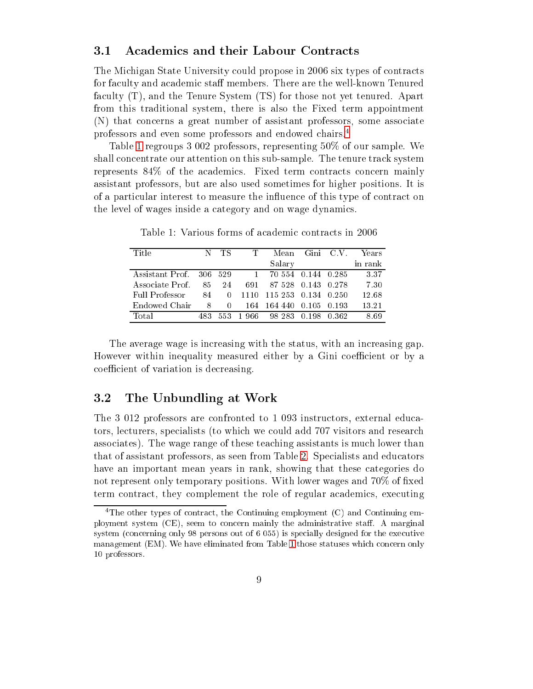#### $3.1\,$ 3.1 Academics and their Labour Contracts

The Michigan State University could propose in 2006 six types of contracts for faculty and academic staff members. There are the well-known Tenured faculty (T), and the Tenure System (TS) for those not yet tenured. Apart from this traditional system, there is also the Fixed term appointment (N) that concerns a great number of assistant professors, some associate professors and even some professors and endowed chairs[.4](#page-9-0)

Table [1](#page-9-1) regroups 3 002 professors, representing 50% of our sample. We shall concentrate our attention on this sub-sample. The tenure track system represents 84% of the academics. Fixed term contracts concern mainly assistant professors, but are also used sometimes for higher positions. It is of a particular interest to measure the influence of this type of contract on the level of wages inside a category and on wage dynamics.

| Title                   |     | TS.  |                                      | Mean                     | Gini C.V. | Years   |
|-------------------------|-----|------|--------------------------------------|--------------------------|-----------|---------|
|                         |     |      |                                      | Salary                   |           | in rank |
| Assistant Prof. 306 529 |     |      | $\begin{array}{ccc} & 1 \end{array}$ | 70 554 0.144 0.285       |           | 3.37    |
| Associate Prof.         | 85  | 24   | 691 -                                | 87 528 0.143 0.278       |           | 7.30    |
| Full Professor          |     | 84 0 |                                      | 1110 115 253 0.134 0.250 |           | 12.68   |
| Endowed Chair           | 8   | 0    |                                      | 164 164 440 0.105 0.193  |           | 13.21   |
| Total                   | 483 | 553. | -1-966-                              | 98 283 0.198             | - 0.362   | 8.69    |

<span id="page-9-1"></span>Table 1: Various forms of academic contracts in 2006

The average wage is increasing with the status, with an increasing gap. However within inequality measured either by a Gini coefficient or by a coefficient of variation is decreasing.

#### 3.2 The Unbundling at Work

The 3 012 professors are confronted to 1 093 instructors, external educators, lecturers, specialists (to which we could add 707 visitors and research associates). The wage range of these teaching assistants is much lower than that of assistant professors, as seen from Table [2.](#page-10-0) Specialists and educators have an important mean years in rank, showing that these categories do not represent only temporary positions. With lower wages and  $70\%$  of fixed term contract, they complement the role of regular academics, executing

<span id="page-9-0"></span><sup>4</sup> The other types of contract, the Continuing employment (C) and Continuing employment system  $(CE)$ , seem to concern mainly the administrative staff. A marginal system (concerning only 98 persons out of 6 055) is specially designed for the executive management (EM). We have eliminated from Table [1](#page-9-1) those statuses which concern only 10 professors.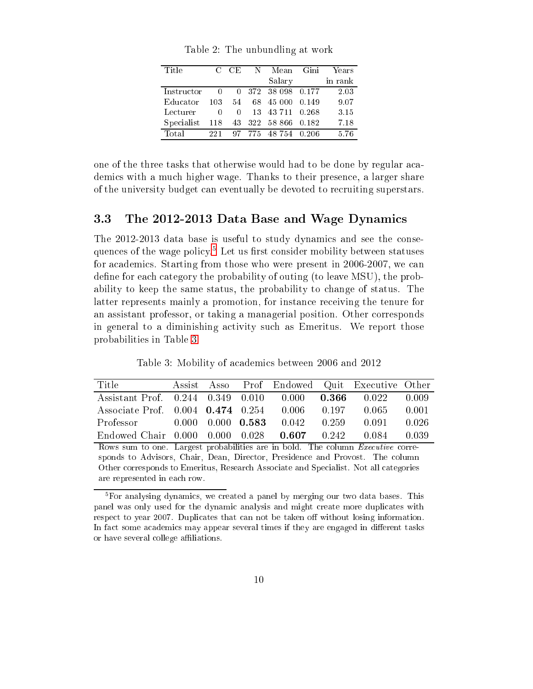<span id="page-10-0"></span>

| Title      |        | C CE             | N | Mean             | - Gini | Years   |
|------------|--------|------------------|---|------------------|--------|---------|
|            |        |                  |   | Salary           |        | in rank |
| Instructor |        | $\left( \right)$ |   | 372 38 098 0.177 |        | 2.03    |
| Educator   | 103    | 54               |   | 68 45 000        | 0.149  | 9.07    |
| Lecturer   | $\cup$ | $\left( \right)$ |   | 13 43 711 0.268  |        | 3.15    |
| Specialist | 118    | 43               |   | 322 58 866 0.182 |        | 7.18    |
| Total      | 221    | 97.              |   | 775 48754 0.206  |        | 5.76    |

Table 2: The unbundling at work

one of the three tasks that otherwise would had to be done by regular academics with a much higher wage. Thanks to their presence, a larger share of the university budget can eventually be devoted to recruiting superstars.

### 3.3 The 2012-2013 Data Base and Wage Dynamics

The 2012-2013 data base is useful to study dynamics and see the consequences of the wage policy. Let us first consider mobility between statuses for academics. Starting from those who were present in 2006-2007, we can define for each category the probability of outing (to leave MSU), the probability to keep the same status, the probability to change of status. The latter represents mainly a promotion, for instance receiving the tenure for an assistant professor, or taking a managerial position. Other corresponds in general to a diminishing activity such as Emeritus. We report those probabilities in Table [3.](#page-10-2)

Table 3: Mobility of academics between 2006 and 2012

<span id="page-10-2"></span>

| Title                                                           |  |                                                         | Assist Asso Prof Endowed Quit Executive Other |       |
|-----------------------------------------------------------------|--|---------------------------------------------------------|-----------------------------------------------|-------|
| Assistant Prof. $0.244$ $0.349$ $0.010$ $0.000$ $0.366$ $0.022$ |  |                                                         |                                               | 0.009 |
| Associate Prof. 0.004 0.474 0.254 0.006 0.197                   |  |                                                         | 0.065                                         | 0.001 |
| Professor                                                       |  | $0.000 \quad 0.000 \quad 0.583 \quad 0.042 \quad 0.259$ | 0.091                                         | 0.026 |
| Endowed Chair 0.000 0.000 0.028 0.607 0.242                     |  |                                                         | 0.084                                         | 0.039 |

Rows sum to one. Largest probabilities are in bold. The column Executive corresponds to Advisors, Chair, Dean, Director, Presidence and Provost. The column Other corresponds to Emeritus, Research Associate and Specialist. Not all categories are represented in each row.

<span id="page-10-1"></span><sup>5</sup> For analysing dynamics, we created a panel by merging our two data bases. This panel was only used for the dynamic analysis and might create more duplicates with respect to year 2007. Duplicates that can not be taken off without losing information. In fact some academics may appear several times if they are engaged in different tasks or have several college affiliations.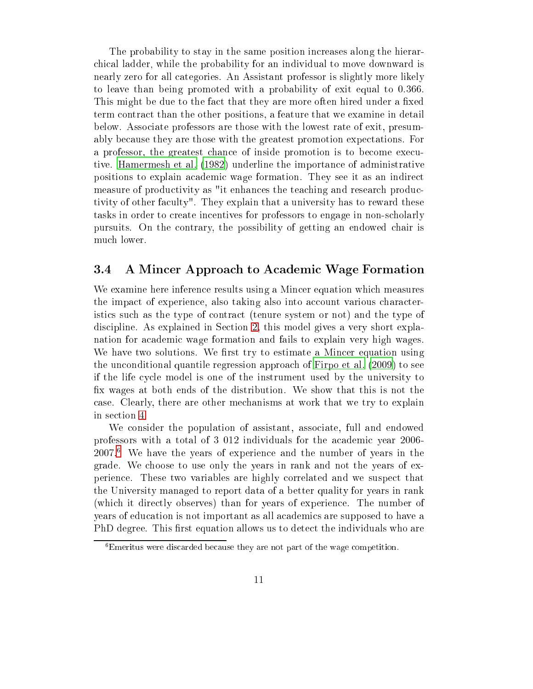The probability to stay in the same position increases along the hierarchical ladder, while the probability for an individual to move downward is nearly zero for all categories. An Assistant professor is slightly more likely to leave than being promoted with a probability of exit equal to 0.366. This might be due to the fact that they are more often hired under a fixed term contract than the other positions, a feature that we examine in detail below. Associate professors are those with the lowest rate of exit, presumably because they are those with the greatest promotion expectations. For a professor, the greatest chance of inside promotion is to become executive. [Hamermesh](#page-38-5) et al. [\(1982](#page-38-5)) underline the importance of administrative positions to explain academic wage formation. They see it as an indirect measure of productivity as "it enhances the teaching and research productivity of other faculty". They explain that a university has to reward these tasks in order to create incentives for professors to engage in non-scholarly pursuits. On the contrary, the possibility of getting an endowed chair is much lower.

#### 3.4 A Mincer Approach to Academic Wage Formation  $3.4\,$

We examine here inference results using a Mincer equation which measures the impact of experience, also taking also into account various characteristics such as the type of contract (tenure system or not) and the type of discipline. As explained in Section [2,](#page-4-0) this model gives a very short explanation for academic wage formation and fails to explain very high wages. We have two solutions. We first try to estimate a Mincer equation using the unconditional quantile regression approach of [Firpo](#page-37-3) et al. [\(2009\)](#page-37-3) to see if the life cycle model is one of the instrument used by the university to x wages at both ends of the distribution. We show that this is not the case. Clearly, there are other mechanisms at work that we try to explain in section [4.](#page-13-0)

We consider the population of assistant, associate, full and endowed professors with a total of 3 012 individuals for the academic year 2006- 2007.<sup>6</sup> We have the years of experience and the number of years in the grade. We choose to use only the years in rank and not the years of experience. These two variables are highly correlated and we suspect that the University managed to report data of a better quality for years in rank (which it directly observes) than for years of experience. The number of years of education is not important as all academics are supposed to have a PhD degree. This first equation allows us to detect the individuals who are

<span id="page-11-0"></span>Emeritus were discarded because they are not part of the wage competition.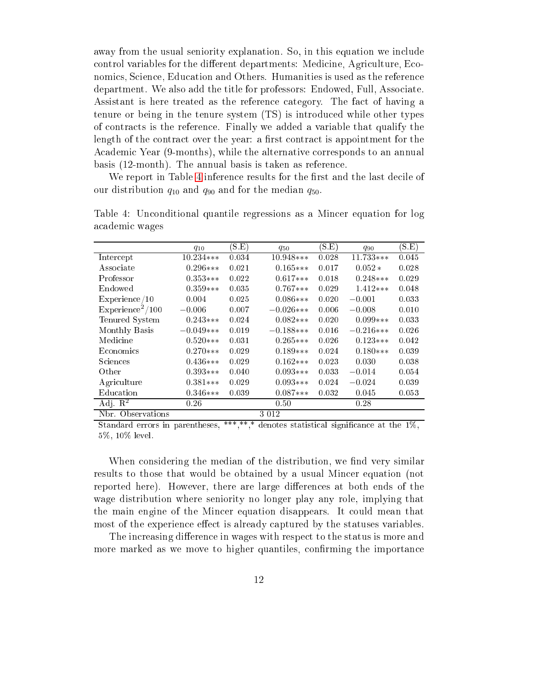away from the usual seniority explanation. So, in this equation we include control variables for the different departments: Medicine, Agriculture, Economics, Science, Education and Others. Humanities is used as the reference department. We also add the title for professors: Endowed, Full, Associate. Assistant is here treated as the reference category. The fact of having a tenure or being in the tenure system (TS) is introduced while other types of contracts is the reference. Finally we added a variable that qualify the length of the contract over the year: a first contract is appointment for the Academic Year (9-months), while the alternative corresponds to an annual basis (12-month). The annual basis is taken as reference.

<span id="page-12-0"></span>We report in Table [4](#page-12-0) inference results for the first and the last decile of our distribution  $q_{10}$  and  $q_{90}$  and for the median  $q_{50}$ .

|                              | $q_{10}$    | (S.E) | $q_{50}$     | (S.E) | $q_{90}$    | (S.E) |
|------------------------------|-------------|-------|--------------|-------|-------------|-------|
| Intercept                    | $10.234***$ | 0.034 | $10.948***$  | 0.028 | $11.733***$ | 0.045 |
| Associate                    | $0.296***$  | 0.021 | $0.165***$   | 0.017 | $0.052*$    | 0.028 |
| Professor                    | $0.353***$  | 0.022 | $0.617***$   | 0.018 | $0.248***$  | 0.029 |
| Endowed                      | $0.359***$  | 0.035 | $0.767***$   | 0.029 | $1.412***$  | 0.048 |
| Experience/10                | 0.004       | 0.025 | $0.086***$   | 0.020 | $-0.001$    | 0.033 |
| Experience <sup>2</sup> /100 | $-0.006$    | 0.007 | $-0.026$ *** | 0.006 | $-0.008$    | 0.010 |
| Tenured System               | $0.243***$  | 0.024 | $0.082***$   | 0.020 | $0.099***$  | 0.033 |
| Monthly Basis                | $-0.049***$ | 0.019 | $-0.188***$  | 0.016 | $-0.216***$ | 0.026 |
| Medicine                     | $0.520***$  | 0.031 | $0.265***$   | 0.026 | $0.123***$  | 0.042 |
| Economics                    | $0.270***$  | 0.029 | $0.189***$   | 0.024 | $0.180***$  | 0.039 |
| Sciences                     | $0.436***$  | 0.029 | $0.162***$   | 0.023 | 0.030       | 0.038 |
| Other                        | $0.393***$  | 0.040 | $0.093***$   | 0.033 | $-0.014$    | 0.054 |
| Agriculture                  | $0.381***$  | 0.029 | $0.093***$   | 0.024 | $-0.024$    | 0.039 |
| Education                    | $0.346***$  | 0.039 | $0.087***$   | 0.032 | 0.045       | 0.053 |
| Adj. $\mathbb{R}^2$          | 0.26        |       | 0.50         |       | 0.28        |       |
| Observations<br>Nbr.         |             |       | 3 0 1 2      |       |             |       |

Table 4: Unconditional quantile regressions as a Mincer equation for log academic wages

Standard errors in parentheses, \*\*\*,\*\*,\* denotes statistical significance at the  $1\%$ , 5%, 10% level.

When considering the median of the distribution, we find very similar results to those that would be obtained by a usual Mincer equation (not reported here). However, there are large differences at both ends of the wage distribution where seniority no longer play any role, implying that the main engine of the Mincer equation disappears. It could mean that most of the experience effect is already captured by the statuses variables.

The increasing difference in wages with respect to the status is more and more marked as we move to higher quantiles, confirming the importance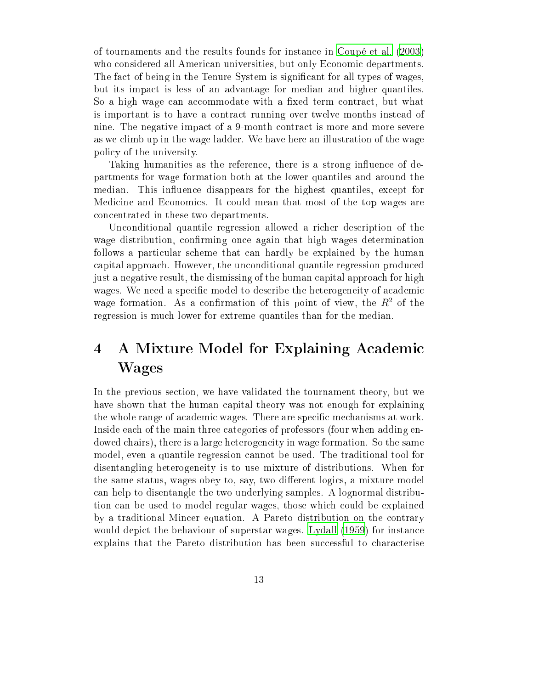of tournaments and the results founds for instance in [Coupé](#page-37-4) et al. [\(2003\)](#page-37-4) who considered all American universities, but only Economic departments. The fact of being in the Tenure System is significant for all types of wages, but its impact is less of an advantage for median and higher quantiles. So a high wage can accommodate with a fixed term contract, but what is important is to have a contract running over twelve months instead of nine. The negative impact of a 9-month contract is more and more severe as we climb up in the wage ladder. We have here an illustration of the wage policy of the university.

Taking humanities as the reference, there is a strong influence of departments for wage formation both at the lower quantiles and around the median. This influence disappears for the highest quantiles, except for Medicine and Economics. It could mean that most of the top wages are concentrated in these two departments.

Unconditional quantile regression allowed a richer description of the wage distribution, confirming once again that high wages determination follows a particular scheme that can hardly be explained by the human capital approach. However, the unconditional quantile regression produced just a negative result, the dismissing of the human capital approach for high wages. We need a specific model to describe the heterogeneity of academic wage formation. As a confirmation of this point of view, the  $R^2$  of the regression is much lower for extreme quantiles than for the median.

## <span id="page-13-0"></span>4 A Mixture Model for Explaining Academic Wages

In the previous section, we have validated the tournament theory, but we have shown that the human capital theory was not enough for explaining the whole range of academic wages. There are specific mechanisms at work. Inside each of the main three categories of professors (four when adding endowed chairs), there is a large heterogeneity in wage formation. So the same model, even a quantile regression cannot be used. The traditional tool for disentangling heterogeneity is to use mixture of distributions. When for the same status, wages obey to, say, two different logics, a mixture model can help to disentangle the two underlying samples. A lognormal distribution can be used to model regular wages, those which could be explained by a traditional Mincer equation. A Pareto distribution on the contrary would depict the behaviour of superstar wages. [Lydall](#page-38-8) [\(1959](#page-38-8)) for instance explains that the Pareto distribution has been successful to characterise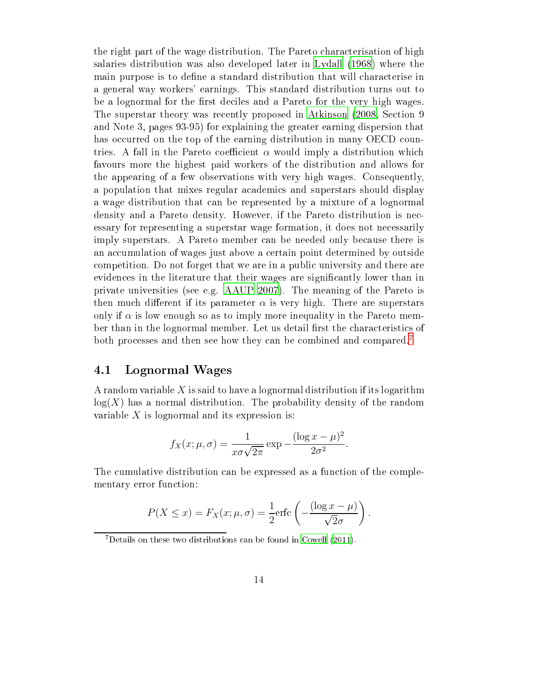the right part of the wage distribution. The Pareto characterisation of high salaries distribution was also developed later in [Lydall](#page-38-9) [\(1968\)](#page-38-9) where the main purpose is to define a standard distribution that will characterise in a general way workers' earnings. This standard distribution turns out to be a lognormal for the first deciles and a Pareto for the very high wages. The superstar theory was recently proposed in [Atkinson](#page-37-5) [\(2008](#page-37-5), Section 9 and Note 3, pages 93-95) for explaining the greater earning dispersion that has occurred on the top of the earning distribution in many OECD countries. A fall in the Pareto coefficient  $\alpha$  would imply a distribution which favours more the highest paid workers of the distribution and allows for the appearing of a few observations with very high wages. Consequently, a population that mixes regular academics and superstars should display a wage distribution that can be represented by a mixture of a lognormal density and a Pareto density. However, if the Pareto distribution is necessary for representing a superstar wage formation, it does not necessarily imply superstars. A Pareto member can be needed only because there is an accumulation of wages just above a certain point determined by outside competition. Do not forget that we are in a public university and there are evidences in the literature that their wages are signicantly lower than in private universities (see e.g. [AAUP](#page-36-0) [2007](#page-36-0)). The meaning of the Pareto is then much different if its parameter  $\alpha$  is very high. There are superstars only if  $\alpha$  is low enough so as to imply more inequality in the Pareto member than in the lognormal member. Let us detail first the characteristics of both processes and then see how they can be combined and compared.<sup>7</sup>

### 4.1 Lognormal Wages

A random variable X is said to have a lognormal distribution if its logarithm  $log(X)$  has a normal distribution. The probability density of the random variable  $X$  is lognormal and its expression is:

$$
f_X(x; \mu, \sigma) = \frac{1}{x\sigma\sqrt{2\pi}} \exp{-\frac{(\log x - \mu)^2}{2\sigma^2}}.
$$

The cumulative distribution can be expressed as a function of the complementary error function:

$$
P(X \le x) = F_X(x; \mu, \sigma) = \frac{1}{2} \text{erfc}\left(-\frac{(\log x - \mu)}{\sqrt{2}\sigma}\right).
$$

<span id="page-14-0"></span><sup>7</sup>Details on these two distributions can be found in [Cowell](#page-37-6) [\(2011\)](#page-37-6).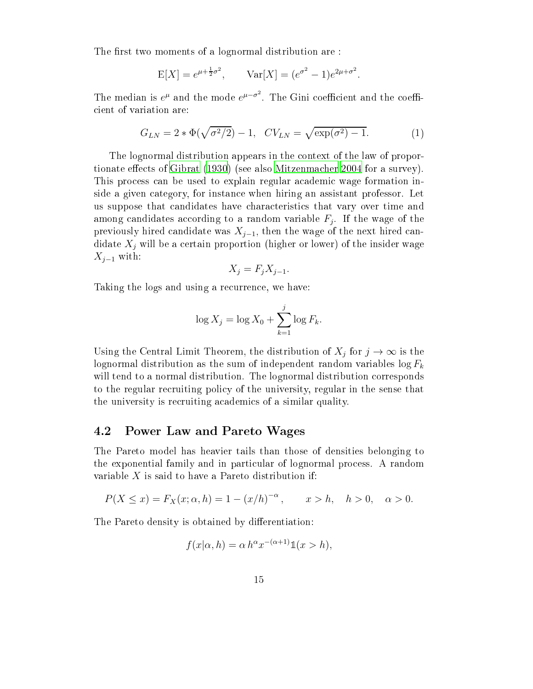The first two moments of a lognormal distribution are :

$$
E[X] = e^{\mu + \frac{1}{2}\sigma^2}
$$
,  $Var[X] = (e^{\sigma^2} - 1)e^{2\mu + \sigma^2}$ .

The median is  $e^{\mu}$  and the mode  $e^{\mu-\sigma^2}$ cient of variation are:

<span id="page-15-0"></span>
$$
G_{LN} = 2 * \Phi(\sqrt{\sigma^2/2}) - 1, \quad CV_{LN} = \sqrt{\exp(\sigma^2) - 1}.
$$
 (1)

The lognormal distribution appears in the context of the law of propor-tionate effects of [Gibrat](#page-37-7) [\(1930](#page-37-7)) (see also [Mitzenmacher](#page-38-10) [2004](#page-38-10) for a survey). This process can be used to explain regular academic wage formation inside a given category, for instance when hiring an assistant professor. Let us suppose that candidates have characteristics that vary over time and among candidates according to a random variable  $F_j$ . If the wage of the previously hired candidate was  $X_{j-1}$ , then the wage of the next hired candidate  $X_i$  will be a certain proportion (higher or lower) of the insider wage  $X_{j-1}$  with:

$$
X_j = F_j X_{j-1}.
$$

Taking the logs and using a recurrence, we have:

$$
\log X_j = \log X_0 + \sum_{k=1}^j \log F_k.
$$

Using the Central Limit Theorem, the distribution of  $X_j$  for  $j \to \infty$  is the lognormal distribution as the sum of independent random variables  $\log F_k$ will tend to a normal distribution. The lognormal distribution corresponds to the regular recruiting policy of the university, regular in the sense that the university is recruiting academics of a similar quality.

#### 4.2 Power Law and Pareto Wages

The Pareto model has heavier tails than those of densities belonging to the exponential family and in particular of lognormal process. A random variable  $X$  is said to have a Pareto distribution if:

$$
P(X \le x) = F_X(x; \alpha, h) = 1 - (x/h)^{-\alpha}, \qquad x > h, \quad h > 0, \quad \alpha > 0.
$$

The Pareto density is obtained by differentiation:

$$
f(x|\alpha, h) = \alpha h^{\alpha} x^{-(\alpha+1)} \mathbb{1}(x > h),
$$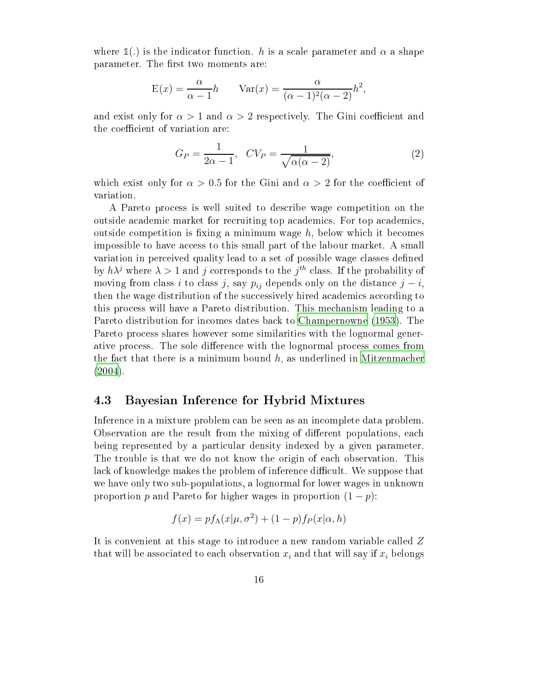where  $\mathbb{1}(.)$  is the indicator function. h is a scale parameter and  $\alpha$  a shape parameter. The first two moments are:

$$
E(x) = \frac{\alpha}{\alpha - 1}h \qquad \text{Var}(x) = \frac{\alpha}{(\alpha - 1)^2(\alpha - 2)}h^2,
$$

and exist only for  $\alpha > 1$  and  $\alpha > 2$  respectively. The Gini coefficient and the coefficient of variation are:

<span id="page-16-0"></span>
$$
G_P = \frac{1}{2\alpha - 1}, \quad CV_P = \frac{1}{\sqrt{\alpha(\alpha - 2)}},\tag{2}
$$

which exist only for  $\alpha > 0.5$  for the Gini and  $\alpha > 2$  for the coefficient of variation.

A Pareto process is well suited to describe wage competition on the outside academic market for recruiting top academics. For top academics, outside competition is fixing a minimum wage  $h$ , below which it becomes impossible to have access to this small part of the labour market. A small variation in perceived quality lead to a set of possible wage classes defined by  $h\lambda^j$  where  $\lambda > 1$  and  $j$  corresponds to the  $j^{th}$  class. If the probability of moving from class i to class j, say  $p_{ij}$  depends only on the distance  $j - i$ , then the wage distribution of the successively hired academics according to this process will have a Pareto distribution. This mechanism leading to a Pareto distribution for incomes dates back to [Champernowne](#page-37-8) [\(1953\)](#page-37-8). The Pareto process shares however some similarities with the lognormal generative process. The sole difference with the lognormal process comes from the fact that there is a minimum bound  $h$ , as underlined in [Mitzenmacher](#page-38-10) [\(2004\)](#page-38-10).

#### 4.3 Bayesian Inference for Hybrid Mixtures

Inference in a mixture problem can be seen as an incomplete data problem. Observation are the result from the mixing of different populations, each being represented by a particular density indexed by a given parameter. The trouble is that we do not know the origin of each observation. This lack of knowledge makes the problem of inference difficult. We suppose that we have only two sub-populations, a lognormal for lower wages in unknown proportion p and Pareto for higher wages in proportion  $(1 - p)$ :

$$
f(x) = pf_{\Lambda}(x|\mu, \sigma^2) + (1 - p)f_P(x|\alpha, h)
$$

It is convenient at this stage to introduce a new random variable called Z that will be associated to each observation  $x_i$  and that will say if  $x_i$  belongs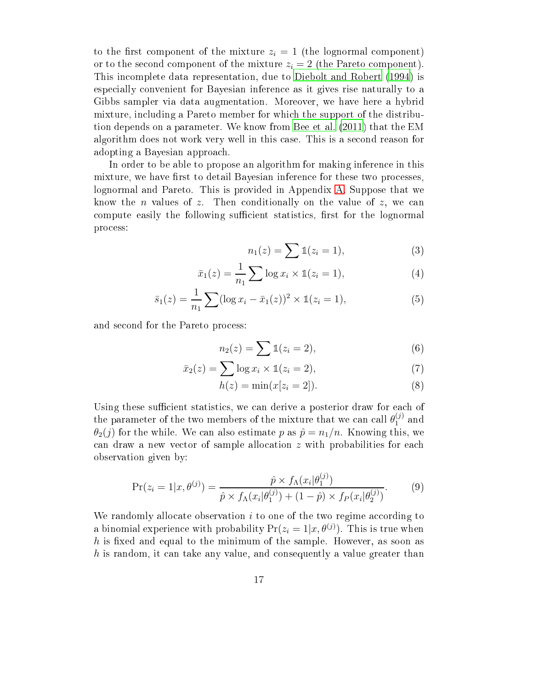to the first component of the mixture  $z_i = 1$  (the lognormal component) or to the second component of the mixture  $z_i = 2$  $z_i = 2$  (the Pareto component). This incomplete data representation, due to Diebolt and Robert [\(1994\)](#page-37-9) is especially convenient for Bayesian inference as it gives rise naturally to a Gibbs sampler via data augmentation. Moreover, we have here a hybrid mixture, including a Pareto member for which the support of the distribution depends on a parameter. We know from [Bee](#page-37-10) et al. [\(2011\)](#page-37-10) that the EM algorithm does not work very well in this case. This is a second reason for adopting a Bayesian approach.

In order to be able to propose an algorithm for making inference in this mixture, we have first to detail Bayesian inference for these two processes, lognormal and Pareto. This is provided in Appendix [A.](#page-32-0) Suppose that we know the *n* values of z. Then conditionally on the value of z, we can compute easily the following sufficient statistics, first for the lognormal process:

$$
n_1(z) = \sum \mathbb{1}(z_i = 1), \tag{3}
$$

$$
\bar{x}_1(z) = \frac{1}{n_1} \sum \log x_i \times \mathbb{1}(z_i = 1),
$$
\n(4)

$$
\bar{s}_1(z) = \frac{1}{n_1} \sum (\log x_i - \bar{x}_1(z))^2 \times \mathbb{1}(z_i = 1), \tag{5}
$$

and second for the Pareto process:

$$
n_2(z) = \sum \mathbb{1}(z_i = 2), \tag{6}
$$

$$
\bar{x}_2(z) = \sum \log x_i \times \mathbb{1}(z_i = 2),\tag{7}
$$

$$
h(z) = \min(x[z_i = 2]). \tag{8}
$$

Using these sufficient statistics, we can derive a posterior draw for each of the parameter of the two members of the mixture that we can call  $\theta_1^{(j)}$  $_1$  and  $\theta_2(j)$  for the while. We can also estimate p as  $\hat{p} = n_1/n$ . Knowing this, we can draw a new vector of sample allocation z with probabilities for each observation given by:

<span id="page-17-0"></span>
$$
\Pr(z_i = 1 | x, \theta^{(j)}) = \frac{\hat{p} \times f_{\Lambda}(x_i | \theta_1^{(j)})}{\hat{p} \times f_{\Lambda}(x_i | \theta_1^{(j)}) + (1 - \hat{p}) \times f_P(x_i | \theta_2^{(j)})}.
$$
(9)

We randomly allocate observation  $i$  to one of the two regime according to a binomial experience with probability  $Pr(z_i = 1 | x, \theta^{(j)})$ . This is true when h is fixed and equal to the minimum of the sample. However, as soon as h is random, it can take any value, and consequently a value greater than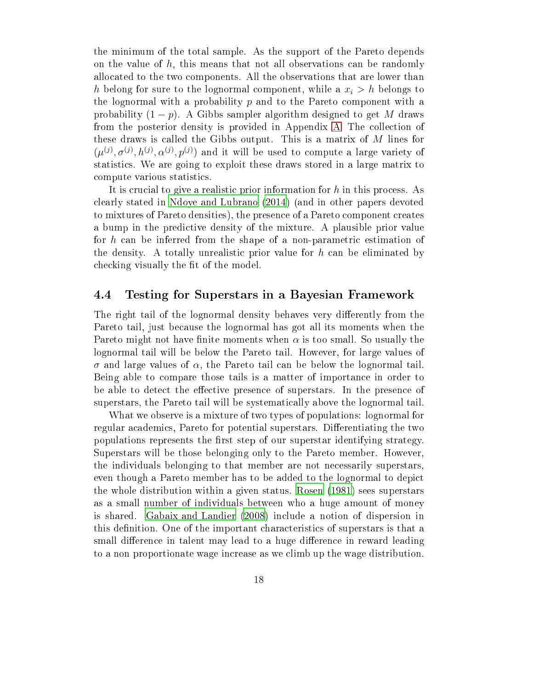the minimum of the total sample. As the support of the Pareto depends on the value of  $h$ , this means that not all observations can be randomly allocated to the two components. All the observations that are lower than h belong for sure to the lognormal component, while a  $x_i > h$  belongs to the lognormal with a probability  $p$  and to the Pareto component with a probability  $(1 - p)$ . A Gibbs sampler algorithm designed to get M draws from the posterior density is provided in Appendix [A.](#page-32-0) The collection of these draws is called the Gibbs output. This is a matrix of  $M$  lines for  $(\mu^{(j)}, \sigma^{(j)}, h^{(j)}, \alpha^{(j)}, p^{(j)})$  and it will be used to compute a large variety of statistics. We are going to exploit these draws stored in a large matrix to compute various statistics.

It is crucial to give a realistic prior information for h in this process. As clearly stated in Ndoye and [Lubrano](#page-39-4) [\(2014\)](#page-39-4) (and in other papers devoted to mixtures of Pareto densities), the presence of a Pareto component creates a bump in the predictive density of the mixture. A plausible prior value for h can be inferred from the shape of a non-parametric estimation of the density. A totally unrealistic prior value for  $h$  can be eliminated by checking visually the fit of the model.

#### 4.4 Testing for Superstars in a Bayesian Framework

The right tail of the lognormal density behaves very differently from the Pareto tail, just because the lognormal has got all its moments when the Pareto might not have finite moments when  $\alpha$  is too small. So usually the lognormal tail will be below the Pareto tail. However, for large values of σ and large values of α, the Pareto tail can be below the lognormal tail. Being able to compare those tails is a matter of importance in order to be able to detect the effective presence of superstars. In the presence of superstars, the Pareto tail will be systematically above the lognormal tail.

What we observe is a mixture of two types of populations: lognormal for regular academics, Pareto for potential superstars. Differentiating the two populations represents the first step of our superstar identifying strategy. Superstars will be those belonging only to the Pareto member. However, the individuals belonging to that member are not necessarily superstars, even though a Pareto member has to be added to the lognormal to depict the whole distribution within a given status. [Rosen](#page-39-0) [\(1981\)](#page-39-0) sees superstars as a small number of individuals between who a huge amount of money is shared. Gabaix and [Landier](#page-37-1) [\(2008](#page-37-1)) include a notion of dispersion in this definition. One of the important characteristics of superstars is that a small difference in talent may lead to a huge difference in reward leading to a non proportionate wage increase as we climb up the wage distribution.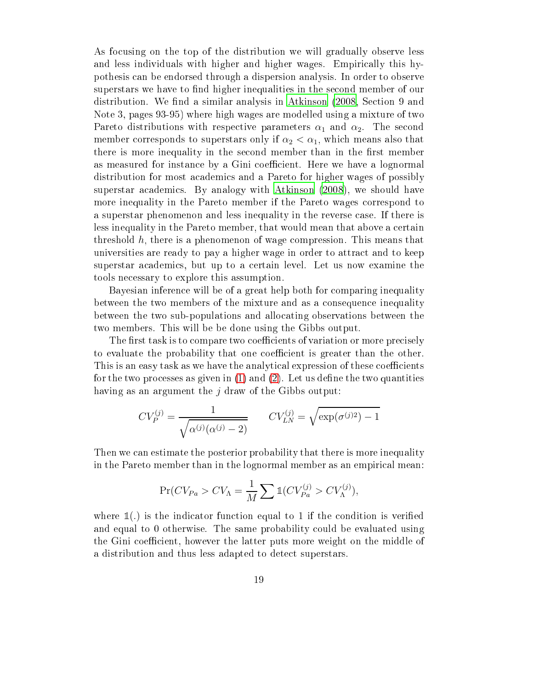As focusing on the top of the distribution we will gradually observe less and less individuals with higher and higher wages. Empirically this hypothesis can be endorsed through a dispersion analysis. In order to observe superstars we have to find higher inequalities in the second member of our distribution. We find a similar analysis in [Atkinson](#page-37-5) [\(2008,](#page-37-5) Section 9 and Note 3, pages 93-95) where high wages are modelled using a mixture of two Pareto distributions with respective parameters  $\alpha_1$  and  $\alpha_2$ . The second member corresponds to superstars only if  $\alpha_2 < \alpha_1$ , which means also that there is more inequality in the second member than in the first member as measured for instance by a Gini coefficient. Here we have a lognormal distribution for most academics and a Pareto for higher wages of possibly superstar academics. By analogy with [Atkinson](#page-37-5) [\(2008\)](#page-37-5), we should have more inequality in the Pareto member if the Pareto wages correspond to a superstar phenomenon and less inequality in the reverse case. If there is less inequality in the Pareto member, that would mean that above a certain threshold h, there is a phenomenon of wage compression. This means that universities are ready to pay a higher wage in order to attract and to keep superstar academics, but up to a certain level. Let us now examine the tools necessary to explore this assumption.

Bayesian inference will be of a great help both for comparing inequality between the two members of the mixture and as a consequence inequality between the two sub-populations and allocating observations between the two members. This will be be done using the Gibbs output.

The first task is to compare two coefficients of variation or more precisely to evaluate the probability that one coefficient is greater than the other. This is an easy task as we have the analytical expression of these coefficients for the two processes as given in  $(1)$  and  $(2)$ . Let us define the two quantities having as an argument the  $j$  draw of the Gibbs output:

$$
CV_P^{(j)} = \frac{1}{\sqrt{\alpha^{(j)}(\alpha^{(j)} - 2)}} \qquad CV_{LN}^{(j)} = \sqrt{\exp(\sigma^{(j)} - 1)}
$$

Then we can estimate the posterior probability that there is more inequality in the Pareto member than in the lognormal member as an empirical mean:

$$
\Pr(CV_{Pa} > CV_{\Lambda} = \frac{1}{M} \sum \mathbb{1}(CV_{Pa}^{(j)} > CV_{\Lambda}^{(j)}),
$$

where  $\mathbb{1}(.)$  is the indicator function equal to 1 if the condition is verified and equal to 0 otherwise. The same probability could be evaluated using the Gini coefficient, however the latter puts more weight on the middle of a distribution and thus less adapted to detect superstars.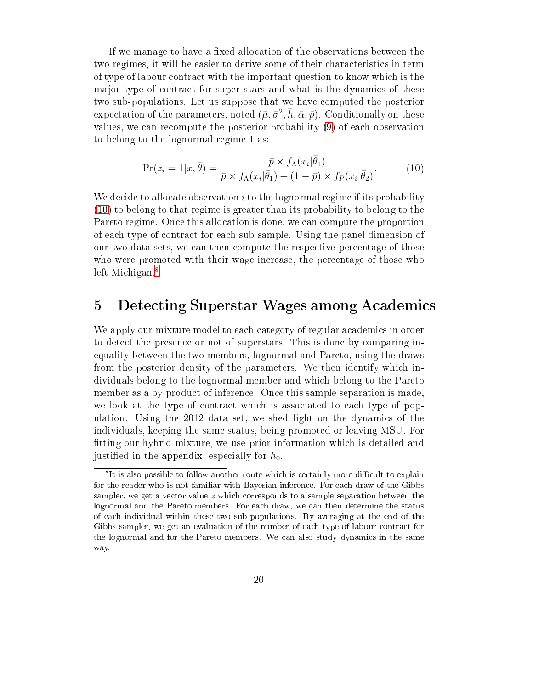If we manage to have a fixed allocation of the observations between the two regimes, it will be easier to derive some of their characteristics in term of type of labour contract with the important question to know which is the ma jor type of contract for super stars and what is the dynamics of these two sub-populations. Let us suppose that we have computed the posterior expectation of the parameters, noted  $(\bar\mu,\bar\sigma^2,\bar h,\bar\alpha,\bar p).$  Conditionally on these values, we can recompute the posterior probability [\(9\)](#page-17-0) of each observation to belong to the lognormal regime 1 as:

<span id="page-20-0"></span>
$$
\Pr(z_i = 1 | x, \bar{\theta}) = \frac{\bar{p} \times f_\Lambda(x_i | \bar{\theta}_1)}{\bar{p} \times f_\Lambda(x_i | \bar{\theta}_1) + (1 - \bar{p}) \times f_P(x_i | \bar{\theta}_2)}.
$$
(10)

We decide to allocate observation  $i$  to the lognormal regime if its probability [\(10\)](#page-20-0) to belong to that regime is greater than its probability to belong to the Pareto regime. Once this allocation is done, we can compute the proportion of each type of contract for each sub-sample. Using the panel dimension of our two data sets, we can then compute the respective percentage of those who were promoted with their wage increase, the percentage of those who left Michigan.<sup>8</sup>

### 5 Detecting Superstar Wages among Academics

We apply our mixture model to each category of regular academics in order to detect the presence or not of superstars. This is done by comparing inequality between the two members, lognormal and Pareto, using the draws from the posterior density of the parameters. We then identify which individuals belong to the lognormal member and which belong to the Pareto member as a by-product of inference. Once this sample separation is made, we look at the type of contract which is associated to each type of population. Using the 2012 data set, we shed light on the dynamics of the individuals, keeping the same status, being promoted or leaving MSU. For tting our hybrid mixture, we use prior information which is detailed and justified in the appendix, especially for  $h_0$ .

<span id="page-20-1"></span>It is also possible to follow another route which is certainly more difficult to explain for the reader who is not familiar with Bayesian inference. For each draw of the Gibbs sampler, we get a vector value  $z$  which corresponds to a sample separation between the lognormal and the Pareto members. For each draw, we can then determine the status of each individual within these two sub-populations. By averaging at the end of the Gibbs sampler, we get an evaluation of the number of each type of labour contract for the lognormal and for the Pareto members. We can also study dynamics in the same way.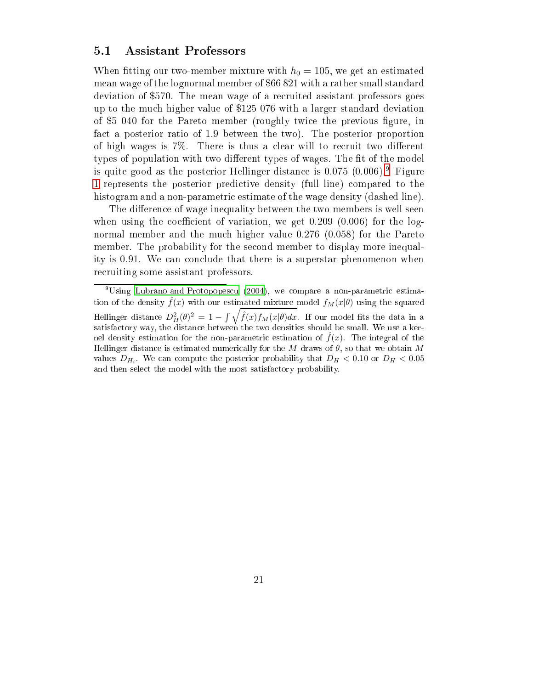#### 5.1 Assistant Professors

When fitting our two-member mixture with  $h_0 = 105$ , we get an estimated mean wage of the lognormal member of \$66 821 with a rather small standard deviation of \$570. The mean wage of a recruited assistant professors goes up to the much higher value of \$125 076 with a larger standard deviation of \$5 040 for the Pareto member (roughly twice the previous figure, in fact a posterior ratio of 1.9 between the two). The posterior proportion of high wages is  $7\%$ . There is thus a clear will to recruit two different types of population with two different types of wages. The fit of the model is quite good as the posterior rieninger distance is  $0.075$  (0.000). Pigure [1](#page-22-0) represents the posterior predictive density (full line) compared to the histogram and a non-parametric estimate of the wage density (dashed line).

The difference of wage inequality between the two members is well seen when using the coefficient of variation, we get  $0.209$  (0.006) for the lognormal member and the much higher value 0.276 (0.058) for the Pareto member. The probability for the second member to display more inequality is 0.91. We can conclude that there is a superstar phenomenon when recruiting some assistant professors.

<span id="page-21-0"></span> $9\,\mathrm{Using}$  Lubrano and [Protopopescu](#page-38-11) [\(2004\)](#page-38-11), we compare a non-parametric estimation of the density  $\hat{f}(x)$  with our estimated mixture model  $f_M(x|\theta)$  using the squared Hellinger distance  $D_H^2(\theta)^2 = 1 - \int \sqrt{\hat{f}(x)f_M(x|\theta)dx}$ . If our model fits the data in a satisfactory way, the distance between the two densities should be small. We use a kernel density estimation for the non-parametric estimation of  $f(x)$ . The integral of the Hellinger distance is estimated numerically for the M draws of  $\theta$ , so that we obtain M values  $D_{H_i}$ . We can compute the posterior probability that  $D_H < 0.10$  or  $D_H < 0.05$ and then select the model with the most satisfactory probability.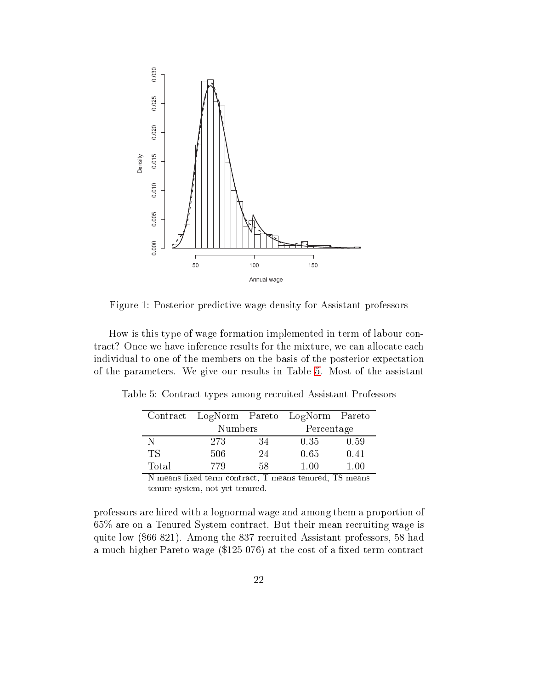<span id="page-22-0"></span>

Figure 1: Posterior predictive wage density for Assistant professors

How is this type of wage formation implemented in term of labour contract? Once we have inference results for the mixture, we can allocate each individual to one of the members on the basis of the posterior expectation of the parameters. We give our results in Table [5.](#page-22-1) Most of the assistant

|                             |         |                                                                                                             | Contract LogNorm Pareto LogNorm Pareto |               |
|-----------------------------|---------|-------------------------------------------------------------------------------------------------------------|----------------------------------------|---------------|
|                             | Numbers |                                                                                                             | Percentage                             |               |
| N                           | 273     | 34                                                                                                          | 0.35                                   | 0.59          |
| ТS                          | 506     | 24                                                                                                          | 0.65                                   | 0.41          |
| Total                       | 779     | 58                                                                                                          | 1.00                                   | 1.00          |
| $\epsilon$<br>$\sim$ $\sim$ |         | $\overline{\phantom{0}}$<br>the contract of the contract of the contract of the contract of the contract of |                                        | $\sim$ $\sim$ |

<span id="page-22-1"></span>Table 5: Contract types among recruited Assistant Professors

N means fixed term contract, T means tenured, TS means tenure system, not yet tenured.

professors are hired with a lognormal wage and among them a proportion of 65% are on a Tenured System contract. But their mean recruiting wage is quite low (\$66 821). Among the 837 recruited Assistant professors, 58 had a much higher Pareto wage (\$125 076) at the cost of a fixed term contract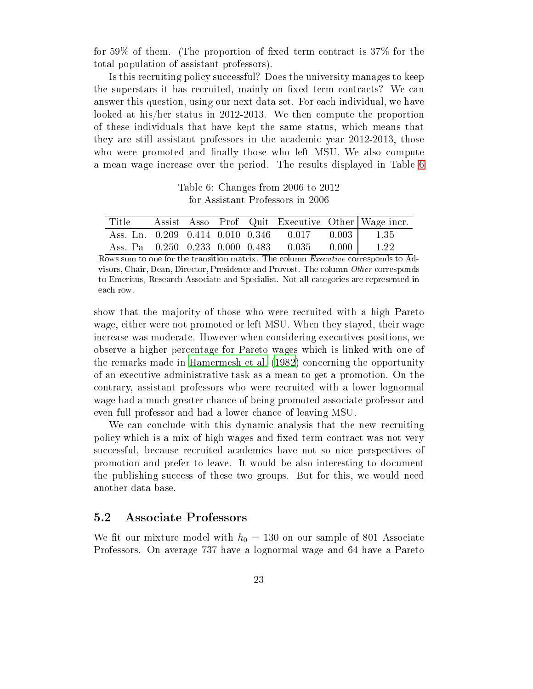for 59% of them. (The proportion of fixed term contract is  $37\%$  for the total population of assistant professors).

Is this recruiting policy successful? Does the university manages to keep the superstars it has recruited, mainly on fixed term contracts? We can answer this question, using our next data set. For each individual, we have looked at his/her status in 2012-2013. We then compute the proportion of these individuals that have kept the same status, which means that they are still assistant professors in the academic year 2012-2013, those who were promoted and finally those who left MSU. We also compute a mean wage increase over the period. The results displayed in Table [6](#page-23-0)

Table 6: Changes from 2006 to 2012 for Assistant Professors in 2006

<span id="page-23-0"></span>

| Title |  |  |                                                     | Assist Asso Prof Quit Executive Other Wage incr. |
|-------|--|--|-----------------------------------------------------|--------------------------------------------------|
|       |  |  | Ass. Ln. 0.209 0.414 0.010 0.346 0.017 0.003   1.35 |                                                  |
|       |  |  | Ass. Pa  0.250  0.233  0.000  0.483  0.035  0.000   | 1.22                                             |

Rows sum to one for the transition matrix. The column Executive corresponds to Advisors, Chair, Dean, Director, Presidence and Provost. The column Other corresponds to Emeritus, Research Associate and Specialist. Not all categories are represented in each row.

show that the majority of those who were recruited with a high Pareto wage, either were not promoted or left MSU. When they stayed, their wage increase was moderate. However when considering executives positions, we observe a higher percentage for Pareto wages which is linked with one of the remarks made in [Hamermesh](#page-38-5) et al. [\(1982\)](#page-38-5) concerning the opportunity of an executive administrative task as a mean to get a promotion. On the contrary, assistant professors who were recruited with a lower lognormal wage had a much greater chance of being promoted associate professor and even full professor and had a lower chance of leaving MSU.

We can conclude with this dynamic analysis that the new recruiting policy which is a mix of high wages and fixed term contract was not very successful, because recruited academics have not so nice perspectives of promotion and prefer to leave. It would be also interesting to document the publishing success of these two groups. But for this, we would need another data base.

#### $5.2$ 5.2 Associate Professors

We fit our mixture model with  $h_0 = 130$  on our sample of 801 Associate Professors. On average 737 have a lognormal wage and 64 have a Pareto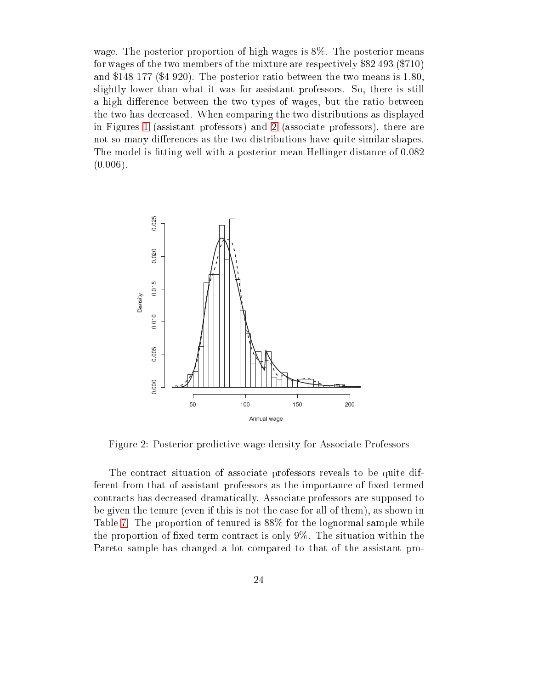wage. The posterior proportion of high wages is 8%. The posterior means for wages of the two members of the mixture are respectively \$82 493 (\$710) and \$148 177 (\$4 920). The posterior ratio between the two means is 1.80, slightly lower than what it was for assistant professors. So, there is still a high difference between the two types of wages, but the ratio between the two has decreased. When comparing the two distributions as displayed in Figures [1](#page-22-0) (assistant professors) and [2](#page-24-0) (associate professors), there are not so many differences as the two distributions have quite similar shapes. The model is tting well with a posterior mean Hellinger distance of 0.082  $(0.006)$ .

<span id="page-24-0"></span>

Figure 2: Posterior predictive wage density for Associate Professors

The contract situation of associate professors reveals to be quite different from that of assistant professors as the importance of fixed termed contracts has decreased dramatically. Associate professors are supposed to be given the tenure (even if this is not the case for all of them), as shown in Table [7.](#page-25-0) The proportion of tenured is 88% for the lognormal sample while the proportion of fixed term contract is only  $9\%$ . The situation within the Pareto sample has changed a lot compared to that of the assistant pro-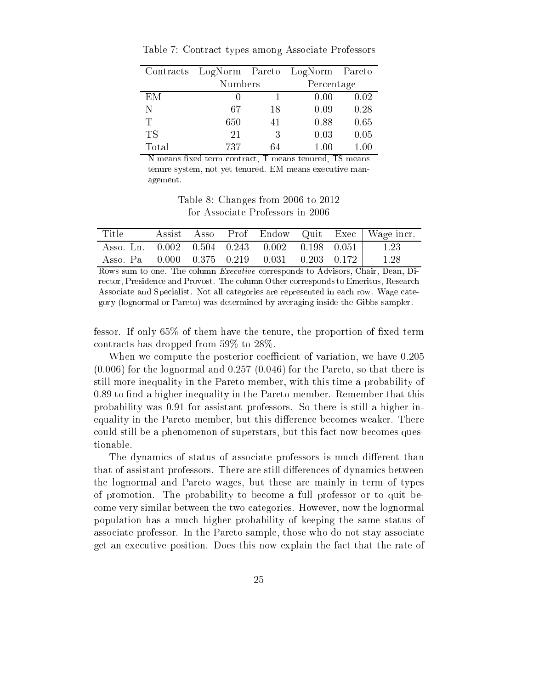|       | Contracts LogNorm Pareto LogNorm Pareto |    |            |      |
|-------|-----------------------------------------|----|------------|------|
|       | Numbers                                 |    | Percentage |      |
| EM    |                                         |    | 0.00       | 0.02 |
| N     | 67                                      | 18 | 0.09       | 0.28 |
| Ͳ     | 650                                     | 41 | 0.88       | 0.65 |
| TS    | 21                                      | 3  | 0.03       | 0.05 |
| Total | 737                                     | 64 | 1.00       | 1.00 |

<span id="page-25-0"></span>Table 7: Contract types among Associate Professors

N means fixed term contract, T means tenured, TS means tenure system, not yet tenured. EM means executive management.

Table 8: Changes from 2006 to 2012 for Associate Professors in 2006

| Title                                                            |  |  |  | Assist Asso Prof Endow Quit Exec   Wage incr. |
|------------------------------------------------------------------|--|--|--|-----------------------------------------------|
| Asso. Ln. $0.002$ $0.504$ $0.243$ $0.002$ $0.198$ $0.051$   1.23 |  |  |  |                                               |
| Asso. Pa  0.000  0.375  0.219  0.031  0.203  0.172  1.28         |  |  |  |                                               |

Rows sum to one. The column Executive corresponds to Advisors, Chair, Dean, Director, Presidence and Provost. The column Other corresponds to Emeritus, Research Associate and Specialist. Not all categories are represented in each row. Wage category (lognormal or Pareto) was determined by averaging inside the Gibbs sampler.

fessor. If only  $65\%$  of them have the tenure, the proportion of fixed term contracts has dropped from 59% to 28%.

When we compute the posterior coefficient of variation, we have 0.205  $(0.006)$  for the lognormal and  $0.257$   $(0.046)$  for the Pareto, so that there is still more inequality in the Pareto member, with this time a probability of 0.89 to find a higher inequality in the Pareto member. Remember that this probability was 0.91 for assistant professors. So there is still a higher inequality in the Pareto member, but this difference becomes weaker. There could still be a phenomenon of superstars, but this fact now becomes questionable.

The dynamics of status of associate professors is much different than that of assistant professors. There are still differences of dynamics between the lognormal and Pareto wages, but these are mainly in term of types of promotion. The probability to become a full professor or to quit become very similar between the two categories. However, now the lognormal population has a much higher probability of keeping the same status of associate professor. In the Pareto sample, those who do not stay associate get an executive position. Does this now explain the fact that the rate of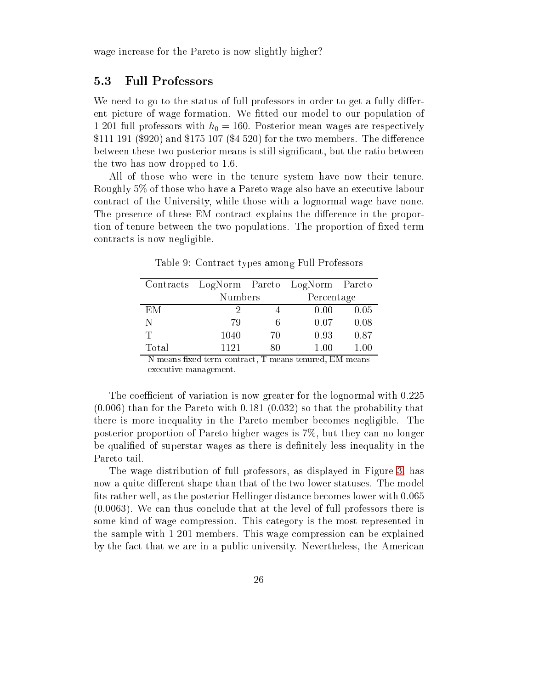wage increase for the Pareto is now slightly higher?

#### 5.3 Full Professors

We need to go to the status of full professors in order to get a fully different picture of wage formation. We tted our model to our population of 1 201 full professors with  $h_0 = 160$ . Posterior mean wages are respectively  $$111\;191\;(\$920)$  and  $$175\;107\;(\$4\;520)$  for the two members. The difference between these two posterior means is still significant, but the ratio between the two has now dropped to 1.6.

All of those who were in the tenure system have now their tenure. Roughly 5% of those who have a Pareto wage also have an executive labour contract of the University, while those with a lognormal wage have none. The presence of these EM contract explains the difference in the proportion of tenure between the two populations. The proportion of fixed term contracts is now negligible.

|       | Contracts LogNorm Pareto LogNorm Pareto |    |            |      |  |
|-------|-----------------------------------------|----|------------|------|--|
|       | Numbers                                 |    | Percentage |      |  |
| ЕM    | 9                                       |    | 0.00       | 0.05 |  |
| Ν     | 79                                      | 6  | 0.07       | 0.08 |  |
| T     | 1040                                    | 70 | 0.93       | 0.87 |  |
| Total | 1121                                    | 80 | 1.00       | 100  |  |

Table 9: Contract types among Full Professors

 $\overline{N}$  means fixed term contract, T means tenured, EM means executive management.

The coefficient of variation is now greater for the lognormal with  $0.225$ (0.006) than for the Pareto with 0.181 (0.032) so that the probability that there is more inequality in the Pareto member becomes negligible. The posterior proportion of Pareto higher wages is 7%, but they can no longer be qualified of superstar wages as there is definitely less inequality in the Pareto tail.

The wage distribution of full professors, as displayed in Figure [3,](#page-27-0) has now a quite different shape than that of the two lower statuses. The model fits rather well, as the posterior Hellinger distance becomes lower with  $0.065$ (0.0063). We can thus conclude that at the level of full professors there is some kind of wage compression. This category is the most represented in the sample with 1 201 members. This wage compression can be explained by the fact that we are in a public university. Nevertheless, the American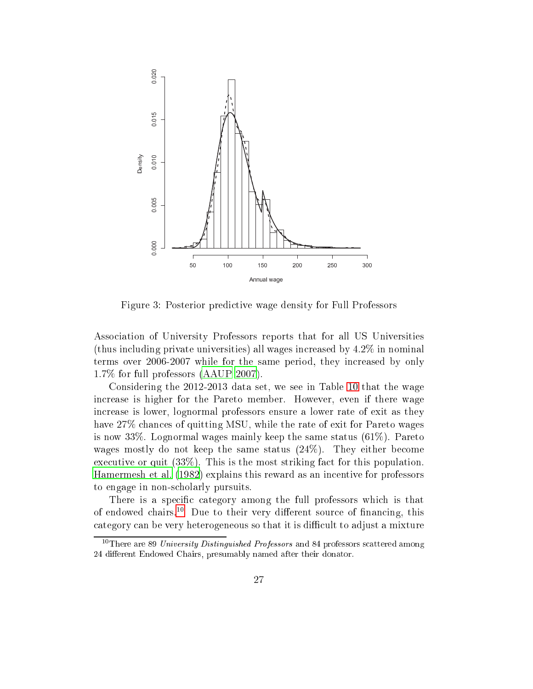<span id="page-27-0"></span>

Figure 3: Posterior predictive wage density for Full Professors

Association of University Professors reports that for all US Universities (thus including private universities) all wages increased by 4.2% in nominal terms over 2006-2007 while for the same period, they increased by only 1.7% for full professors [\(AAUP](#page-36-0) [2007](#page-36-0)).

Considering the 2012-2013 data set, we see in Table [10](#page-28-0) that the wage increase is higher for the Pareto member. However, even if there wage increase is lower, lognormal professors ensure a lower rate of exit as they have 27% chances of quitting MSU, while the rate of exit for Pareto wages is now 33%. Lognormal wages mainly keep the same status (61%). Pareto wages mostly do not keep the same status (24%). They either become executive or quit (33%). This is the most striking fact for this population. [Hamermesh](#page-38-5) et al. [\(1982](#page-38-5)) explains this reward as an incentive for professors to engage in non-scholarly pursuits.

There is a specific category among the full professors which is that of endowed chairs.<sup>10</sup> Due to their very different source of financing, this category can be very heterogeneous so that it is difficult to adjust a mixture

<span id="page-27-1"></span><sup>&</sup>lt;sup>10</sup>There are 89 University Distinguished Professors and 84 professors scattered among 24 different Endowed Chairs, presumably named after their donator.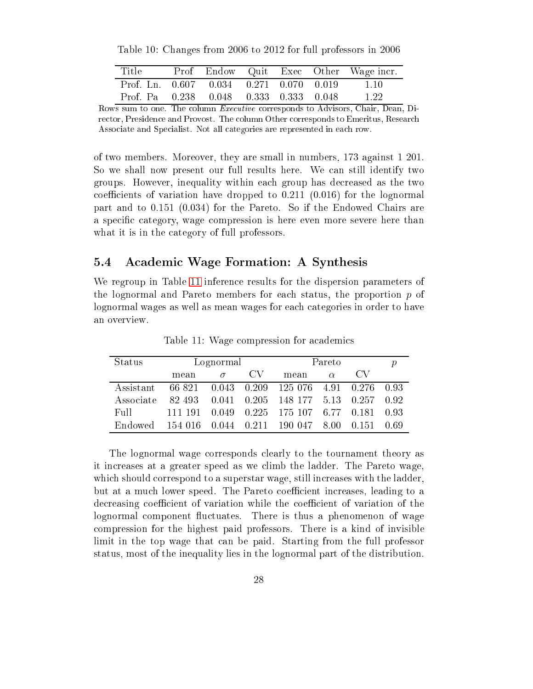<span id="page-28-0"></span>Table 10: Changes from 2006 to 2012 for full professors in 2006

| Title                                             |  |  | Prof Endow Quit Exec Other Wage incr. |
|---------------------------------------------------|--|--|---------------------------------------|
| Prof. Ln. $0.607$ $0.034$ $0.271$ $0.070$ $0.019$ |  |  | -1.10                                 |
| Prof. Pa 0.238 0.048 0.333 0.333 0.048            |  |  | -1.22                                 |

Rows sum to one. The column Executive corresponds to Advisors, Chair, Dean, Director, Presidence and Provost. The column Other corresponds to Emeritus, Research Associate and Specialist. Not all categories are represented in each row.

of two members. Moreover, they are small in numbers, 173 against 1 201. So we shall now present our full results here. We can still identify two groups. However, inequality within each group has decreased as the two coefficients of variation have dropped to  $0.211$   $(0.016)$  for the lognormal part and to 0.151 (0.034) for the Pareto. So if the Endowed Chairs are a specific category, wage compression is here even more severe here than what it is in the category of full professors.

### 5.4 Academic Wage Formation: A Synthesis

We regroup in Table [11](#page-28-1) inference results for the dispersion parameters of the lognormal and Pareto members for each status, the proportion  $p$  of lognormal wages as well as mean wages for each categories in order to have an overview.

<span id="page-28-1"></span>

| <b>Status</b> | Lognormal |          |     | Pareto                                     |          |                    |  |
|---------------|-----------|----------|-----|--------------------------------------------|----------|--------------------|--|
|               | mean      | $\sigma$ | CV. | mean                                       | $\alpha$ |                    |  |
| Assistant     |           |          |     | 66 821 0.043 0.209 125 076 4.91 0.276 0.93 |          |                    |  |
| Associate     | 82 493    |          |     | $0.041$ $0.205$ 148 177 5.13 0.257 0.92    |          |                    |  |
| Full          | 111 191   |          |     | $0.049$ $0.225$ 175 107 6.77 0.181 0.93    |          |                    |  |
| Endowed       |           |          |     | 154 016 0.044 0.211 190 047 8.00           |          | $0.151 \quad 0.69$ |  |

Table 11: Wage compression for academics

The lognormal wage corresponds clearly to the tournament theory as it increases at a greater speed as we climb the ladder. The Pareto wage, which should correspond to a superstar wage, still increases with the ladder, but at a much lower speed. The Pareto coefficient increases, leading to a decreasing coefficient of variation while the coefficient of variation of the lognormal component fluctuates. There is thus a phenomenon of wage compression for the highest paid professors. There is a kind of invisible limit in the top wage that can be paid. Starting from the full professor status, most of the inequality lies in the lognormal part of the distribution.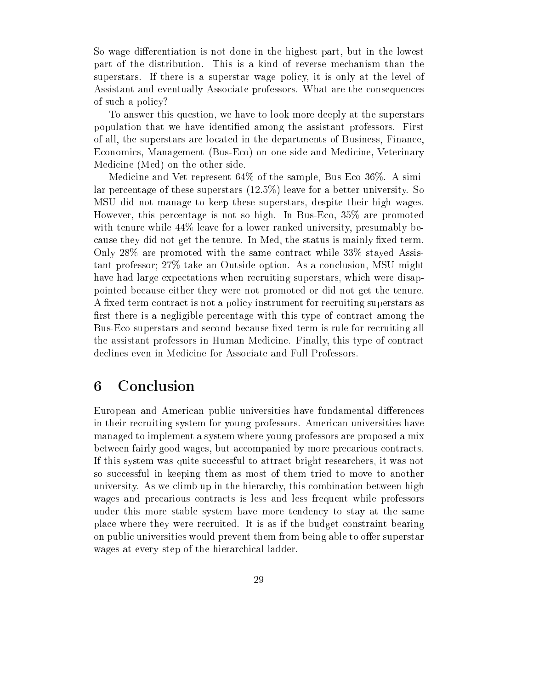So wage differentiation is not done in the highest part, but in the lowest part of the distribution. This is a kind of reverse mechanism than the superstars. If there is a superstar wage policy, it is only at the level of Assistant and eventually Associate professors. What are the consequences of such a policy?

To answer this question, we have to look more deeply at the superstars population that we have identied among the assistant professors. First of all, the superstars are located in the departments of Business, Finance, Economics, Management (Bus-Eco) on one side and Medicine, Veterinary Medicine (Med) on the other side.

Medicine and Vet represent 64% of the sample, Bus-Eco 36%. A similar percentage of these superstars (12.5%) leave for a better university. So MSU did not manage to keep these superstars, despite their high wages. However, this percentage is not so high. In Bus-Eco, 35% are promoted with tenure while 44% leave for a lower ranked university, presumably because they did not get the tenure. In Med, the status is mainly fixed term. Only 28% are promoted with the same contract while 33% stayed Assistant professor; 27% take an Outside option. As a conclusion, MSU might have had large expectations when recruiting superstars, which were disappointed because either they were not promoted or did not get the tenure. A fixed term contract is not a policy instrument for recruiting superstars as first there is a negligible percentage with this type of contract among the Bus-Eco superstars and second because fixed term is rule for recruiting all the assistant professors in Human Medicine. Finally, this type of contract declines even in Medicine for Associate and Full Professors.

## 6 Conclusion

European and American public universities have fundamental differences in their recruiting system for young professors. American universities have managed to implement a system where young professors are proposed a mix between fairly good wages, but accompanied by more precarious contracts. If this system was quite successful to attract bright researchers, it was not so successful in keeping them as most of them tried to move to another university. As we climb up in the hierarchy, this combination between high wages and precarious contracts is less and less frequent while professors under this more stable system have more tendency to stay at the same place where they were recruited. It is as if the budget constraint bearing on public universities would prevent them from being able to offer superstar wages at every step of the hierarchical ladder.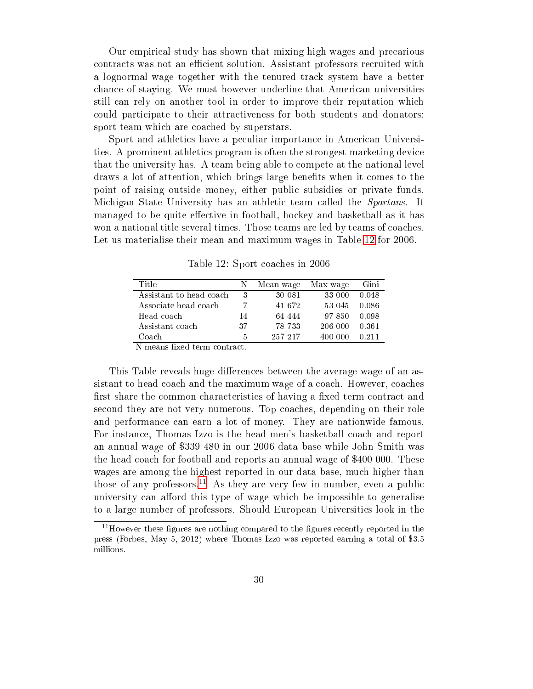Our empirical study has shown that mixing high wages and precarious contracts was not an efficient solution. Assistant professors recruited with a lognormal wage together with the tenured track system have a better chance of staying. We must however underline that American universities still can rely on another tool in order to improve their reputation which could participate to their attractiveness for both students and donators: sport team which are coached by superstars.

Sport and athletics have a peculiar importance in American Universities. A prominent athletics program is often the strongest marketing device that the university has. A team being able to compete at the national level draws a lot of attention, which brings large benefits when it comes to the point of raising outside money, either public subsidies or private funds. Michigan State University has an athletic team called the Spartans. It managed to be quite effective in football, hockey and basketball as it has won a national title several times. Those teams are led by teams of coaches. Let us materialise their mean and maximum wages in Table [12](#page-30-0) for 2006.

<span id="page-30-0"></span>

| Title                         |    | Mean wage | Max wage | Gini    |
|-------------------------------|----|-----------|----------|---------|
| Assistant to head coach       | 3  | 30 081    | 33 000   | 0.048   |
| Associate head coach          |    | 41 672    | 53 045   | 0.086   |
| Head coach                    | 14 | 64 444    | 97 850   | - 0.098 |
| Assistant coach               | 37 | 78 733    | 206 000  | 0.361   |
| Coach<br>$\sim$ $\sim$ $\sim$ | 5  | 257 217   | 400 000  | 0.211   |

Table 12: Sport coaches in 2006

N means fixed term contract.

This Table reveals huge differences between the average wage of an assistant to head coach and the maximum wage of a coach. However, coaches first share the common characteristics of having a fixed term contract and second they are not very numerous. Top coaches, depending on their role and performance can earn a lot of money. They are nationwide famous. For instance, Thomas Izzo is the head men's basketball coach and report an annual wage of \$339 480 in our 2006 data base while John Smith was the head coach for football and reports an annual wage of \$400 000. These wages are among the highest reported in our data base, much higher than those of any professors.<sup>11</sup> As they are very few in number, even a public university can afford this type of wage which be impossible to generalise to a large number of professors. Should European Universities look in the

<span id="page-30-1"></span> $11$ However these figures are nothing compared to the figures recently reported in the press (Forbes, May 5, 2012) where Thomas Izzo was reported earning a total of \$3.5 millions.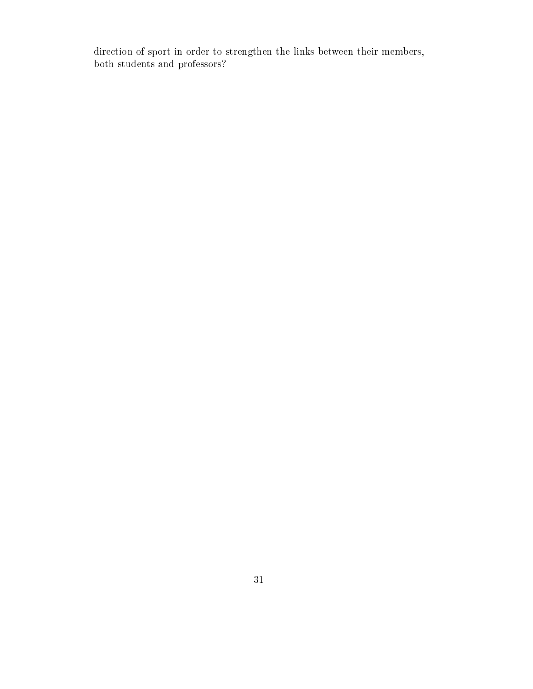direction of sport in order to strengthen the links between their members, both students and professors?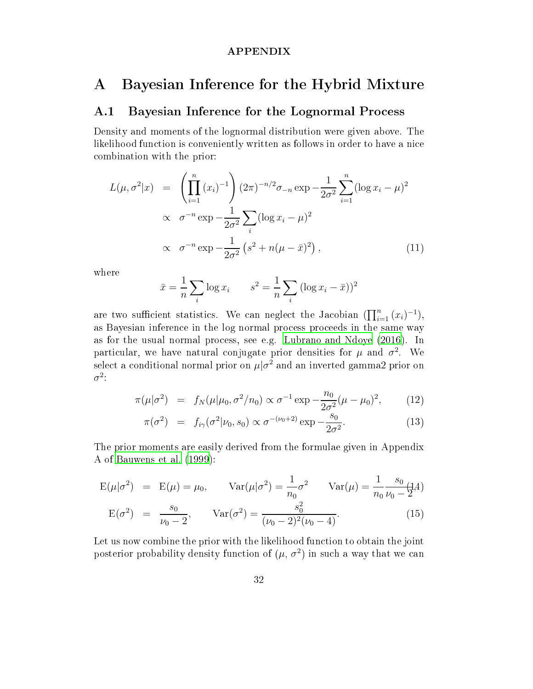#### APPENDIX

## <span id="page-32-0"></span>A Bayesian Inference for the Hybrid Mixture

### A.1 Bayesian Inference for the Lognormal Process

Density and moments of the lognormal distribution were given above. The likelihood function is conveniently written as follows in order to have a nice combination with the prior:

$$
L(\mu, \sigma^2 | x) = \left( \prod_{i=1}^n (x_i)^{-1} \right) (2\pi)^{-n/2} \sigma_{-n} \exp{-\frac{1}{2\sigma^2} \sum_{i=1}^n (\log x_i - \mu)^2}
$$
  
 
$$
\propto \sigma^{-n} \exp{-\frac{1}{2\sigma^2} \sum_i (\log x_i - \mu)^2}
$$
  
 
$$
\propto \sigma^{-n} \exp{-\frac{1}{2\sigma^2} (s^2 + n(\mu - \bar{x})^2)},
$$
 (11)

where

$$
\bar{x} = \frac{1}{n} \sum_{i} \log x_i
$$
  $s^2 = \frac{1}{n} \sum_{i} (\log x_i - \bar{x})^2$ 

are two sufficient statistics. We can neglect the Jacobian  $(\prod_{i=1}^n (x_i)^{-1}),$ as Bayesian inference in the log normal process proceeds in the same way as for the usual normal process, see e.g. [Lubrano](#page-38-12) and Ndoye [\(2016\)](#page-38-12). In particular, we have natural conjugate prior densities for  $\mu$  and  $\sigma^2$ . We select a conditional normal prior on  $\mu|\sigma^2$  and an inverted gamma2 prior on  $\sigma^2$ :

$$
\pi(\mu|\sigma^2) = f_N(\mu|\mu_0, \sigma^2/n_0) \propto \sigma^{-1} \exp{-\frac{n_0}{2\sigma^2}(\mu-\mu_0)^2}, \quad (12)
$$

$$
\pi(\sigma^2) = f_{i\gamma}(\sigma^2|\nu_0, s_0) \propto \sigma^{-(\nu_0+2)} \exp{-\frac{s_0}{2\sigma^2}}.
$$
\n(13)

The prior moments are easily derived from the formulae given in Appendix A of [Bauwens](#page-37-11) et al. [\(1999](#page-37-11)):

$$
E(\mu|\sigma^2) = E(\mu) = \mu_0, \quad Var(\mu|\sigma^2) = \frac{1}{n_0}\sigma^2 \quad Var(\mu) = \frac{1}{n_0}\frac{s_0}{\nu_0 - 2^2}.
$$
  
\n
$$
E(\sigma^2) = \frac{s_0}{\nu_0 - 2}, \quad Var(\sigma^2) = \frac{s_0^2}{(\nu_0 - 2)^2(\nu_0 - 4)}.
$$
\n(15)

Let us now combine the prior with the likelihood function to obtain the joint posterior probability density function of  $(\mu, \sigma^2)$  in such a way that we can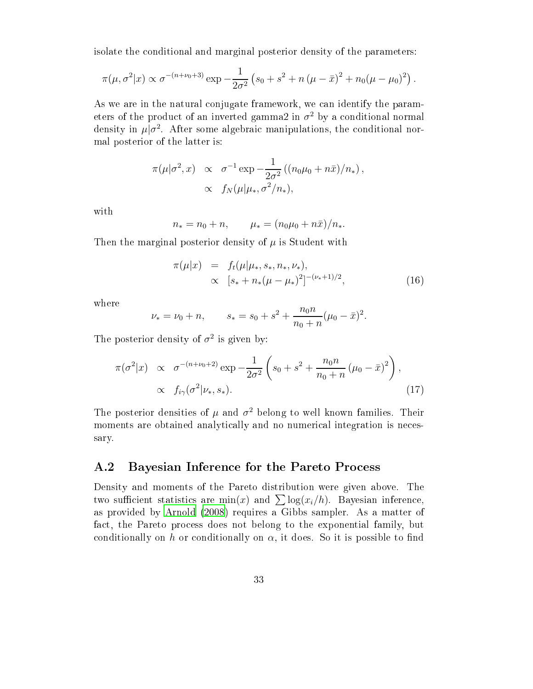isolate the conditional and marginal posterior density of the parameters:

$$
\pi(\mu, \sigma^2 | x) \propto \sigma^{-(n+\nu_0+3)} \exp{-\frac{1}{2\sigma^2} (s_0 + s^2 + n(\mu - \bar{x})^2 + n_0(\mu - \mu_0)^2)}.
$$

As we are in the natural conjugate framework, we can identify the parameters of the product of an inverted gamma2 in  $\sigma^2$  by a conditional normal density in  $\mu|\sigma^2$ . After some algebraic manipulations, the conditional normal posterior of the latter is:

$$
\pi(\mu|\sigma^2, x) \propto \sigma^{-1} \exp \left(-\frac{1}{2\sigma^2} \left((n_0\mu_0 + n\bar{x})/n_*\right)\right),
$$
  
 
$$
\propto f_N(\mu|\mu_*, \sigma^2/n_*),
$$

with

$$
n_* = n_0 + n, \qquad \mu_* = (n_0\mu_0 + n\bar{x})/n_*.
$$

Then the marginal posterior density of  $\mu$  is Student with

$$
\pi(\mu|x) = f_t(\mu|\mu_*, s_*, n_*, \nu_*)\n\propto [s_* + n_*(\mu - \mu_*)^2]^{-(\nu_*+1)/2},
$$
\n(16)

where

$$
\nu_* = \nu_0 + n,
$$
\n $s_* = s_0 + s^2 + \frac{n_0 n}{n_0 + n} (\mu_0 - \bar{x})^2.$ 

The posterior density of  $\sigma^2$  is given by:

$$
\pi(\sigma^2|x) \propto \sigma^{-(n+\nu_0+2)} \exp \left(-\frac{1}{2\sigma^2} \left(s_0 + s^2 + \frac{n_0 n}{n_0 + n} \left(\mu_0 - \bar{x}\right)^2\right)\right),
$$
\n
$$
\propto f_{i\gamma}(\sigma^2|\nu_*, s_*).
$$
\n(17)

The posterior densities of  $\mu$  and  $\sigma^2$  belong to well known families. Their moments are obtained analytically and no numerical integration is necessary.

#### A.2 Bayesian Inference for the Pareto Process

Density and moments of the Pareto distribution were given above. The two sufficient statistics are [m](#page-37-12)in $(x)$  and  $\sum \log(x_i/h)$ . Bayesian inference, as provided by [Arnold](#page-37-12) (2008) requires a Gibbs sampler. As a matter of fact, the Pareto process does not belong to the exponential family, but conditionally on h or conditionally on  $\alpha$ , it does. So it is possible to find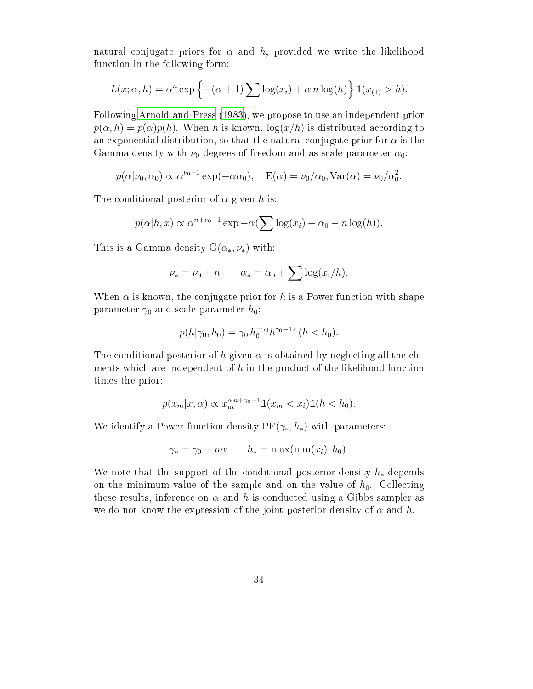natural conjugate priors for  $\alpha$  and h, provided we write the likelihood function in the following form:

$$
L(x; \alpha, h) = \alpha^n \exp \left\{ -(\alpha + 1) \sum \log(x_i) + \alpha n \log(h) \right\} \mathbb{1}(x_{(1)} > h).
$$

Following [Arnold](#page-37-13) and Press [\(1983](#page-37-13)), we propose to use an independent prior  $p(\alpha, h) = p(\alpha)p(h)$ . When h is known,  $\log(x/h)$  is distributed according to an exponential distribution, so that the natural conjugate prior for  $\alpha$  is the Gamma density with  $\nu_0$  degrees of freedom and as scale parameter  $\alpha_0$ :

$$
p(\alpha|\nu_0, \alpha_0) \propto \alpha^{\nu_0 - 1} \exp(-\alpha \alpha_0), \quad E(\alpha) = \nu_0/\alpha_0, \text{Var}(\alpha) = \nu_0/\alpha_0^2.
$$

The conditional posterior of  $\alpha$  given h is:

$$
p(\alpha|h, x) \propto \alpha^{n+\nu_0-1} \exp -\alpha (\sum \log(x_i) + \alpha_0 - n \log(h)).
$$

This is a Gamma density  $G(\alpha_*, \nu_*)$  with:

$$
\nu_* = \nu_0 + n \qquad \alpha_* = \alpha_0 + \sum \log(x_i/h).
$$

When  $\alpha$  is known, the conjugate prior for h is a Power function with shape parameter  $\gamma_0$  and scale parameter  $h_0$ :

$$
p(h|\gamma_0, h_0) = \gamma_0 h_0^{-\gamma_0} h^{\gamma_0 - 1} \mathbb{1}(h < h_0).
$$

The conditional posterior of h given  $\alpha$  is obtained by neglecting all the elements which are independent of  $h$  in the product of the likelihood function times the prior:

$$
p(x_m|x,\alpha) \propto x_m^{\alpha n + \gamma_0 - 1} \mathbb{1}(x_m < x_i) \mathbb{1}(h < h_0).
$$

We identify a Power function density  $PF(\gamma_*, h_*)$  with parameters:

$$
\gamma_* = \gamma_0 + n\alpha \qquad h_* = \max(\min(x_i), h_0).
$$

We note that the support of the conditional posterior density  $h_*$  depends on the minimum value of the sample and on the value of  $h_0$ . Collecting these results, inference on  $\alpha$  and h is conducted using a Gibbs sampler as we do not know the expression of the joint posterior density of  $\alpha$  and h.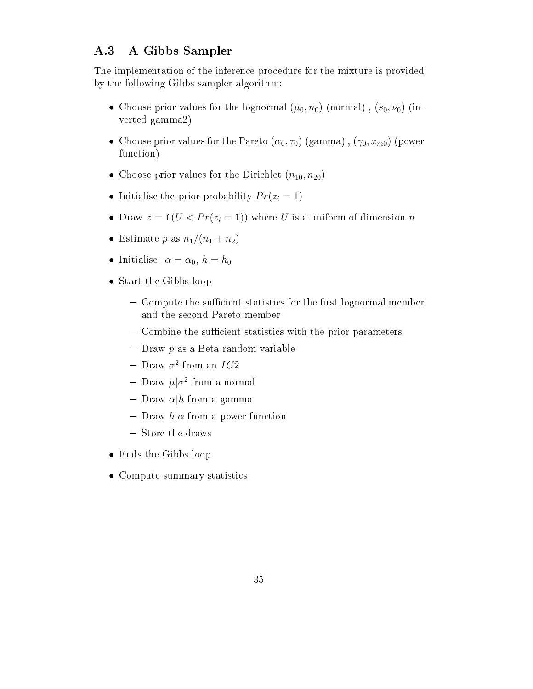### A.3 A Gibbs Sampler

The implementation of the inference procedure for the mixture is provided by the following Gibbs sampler algorithm:

- Choose prior values for the lognormal  $(\mu_0, n_0)$  (normal),  $(s_0, \nu_0)$  (inverted gamma2)
- Choose prior values for the Pareto  $(\alpha_0, \tau_0)$  (gamma),  $(\gamma_0, x_{m0})$  (power function)
- Choose prior values for the Dirichlet  $(n_{10}, n_{20})$
- Initialise the prior probability  $Pr(z_i = 1)$
- Draw  $z = \mathbb{1}(U < Pr(z_i = 1))$  where U is a uniform of dimension n
- Estimate p as  $n_1/(n_1+n_2)$
- Initialise:  $\alpha = \alpha_0, h = h_0$
- Start the Gibbs loop
	- $-$  Compute the sunicient statistics for the mist lognormal member and the second Pareto member
	- $-$  Combine the sumclent statistics with the prior parameters
	- $-$  Draw  $p$  as a Beta random variable
	- Draw  $\sigma^2$  from an  $IG2$
	- Draw  $\mu|\sigma^2$  from a normal
	- $-$  Draw  $\alpha|h$  from a gamma
	- $-$  Draw  $h|\alpha$  from a power function
	- Store the draws
- Ends the Gibbs loop
- Compute summary statistics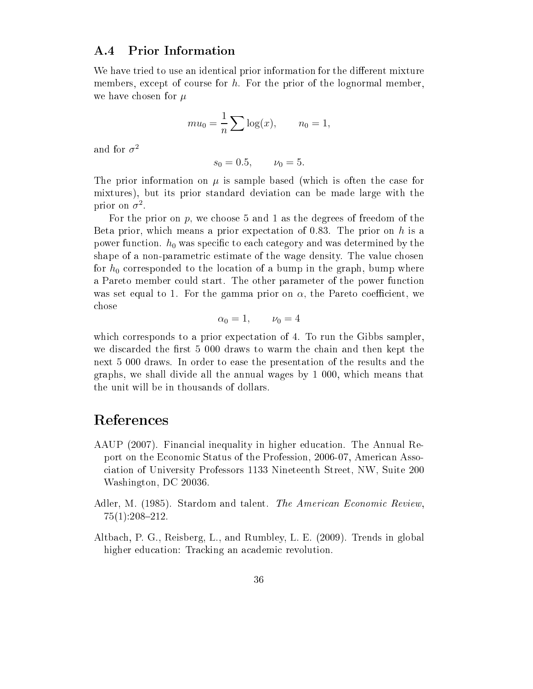#### A.4 Prior Information

We have tried to use an identical prior information for the different mixture members, except of course for h. For the prior of the lognormal member, we have chosen for  $\mu$ 

$$
mu_0 = \frac{1}{n} \sum \log(x), \qquad n_0 = 1,
$$

and for  $\sigma^2$ 

$$
s_0 = 0.5, \qquad \nu_0 = 5.
$$

The prior information on  $\mu$  is sample based (which is often the case for mixtures), but its prior standard deviation can be made large with the prior on  $\sigma^2$ .

For the prior on  $p$ , we choose 5 and 1 as the degrees of freedom of the Beta prior, which means a prior expectation of 0.83. The prior on  $h$  is a power function.  $h_0$  was specific to each category and was determined by the shape of a non-parametric estimate of the wage density. The value chosen for  $h_0$  corresponded to the location of a bump in the graph, bump where a Pareto member could start. The other parameter of the power function was set equal to 1. For the gamma prior on  $\alpha$ , the Pareto coefficient, we chose

$$
\alpha_0 = 1, \qquad \nu_0 = 4
$$

which corresponds to a prior expectation of 4. To run the Gibbs sampler, we discarded the first 5 000 draws to warm the chain and then kept the next 5 000 draws. In order to ease the presentation of the results and the graphs, we shall divide all the annual wages by 1 000, which means that the unit will be in thousands of dollars.

### References

- <span id="page-36-0"></span>AAUP (2007). Financial inequality in higher education. The Annual Report on the Economic Status of the Profession, 2006-07, American Association of University Professors 1133 Nineteenth Street, NW, Suite 200 Washington, DC 20036.
- <span id="page-36-2"></span>Adler, M. (1985). Stardom and talent. The American Economic Review,  $75(1):208-212.$
- <span id="page-36-1"></span>Altbach, P. G., Reisberg, L., and Rumbley, L. E. (2009). Trends in global higher education: Tracking an academic revolution.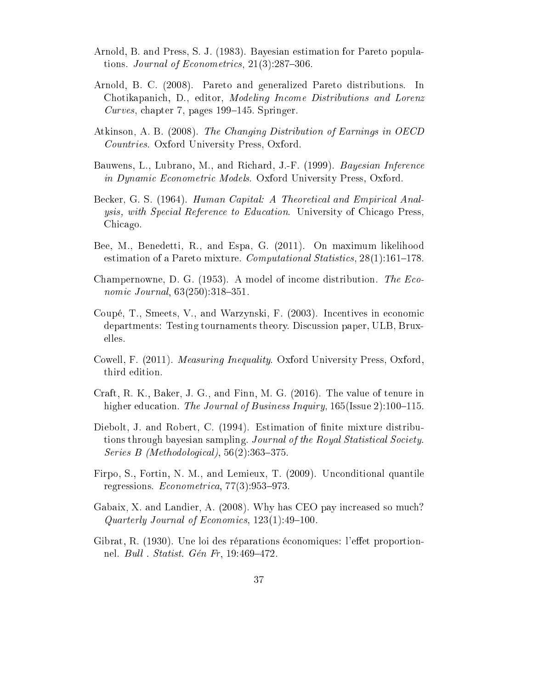- <span id="page-37-13"></span>Arnold, B. and Press, S. J. (1983). Bayesian estimation for Pareto populations. Journal of Econometrics,  $21(3):287-306$ .
- <span id="page-37-12"></span>Arnold, B. C. (2008). Pareto and generalized Pareto distributions. In Chotikapanich, D., editor, Modeling Income Distributions and Lorenz Curves, chapter 7, pages  $199-145$ . Springer.
- <span id="page-37-5"></span>Atkinson, A. B. (2008). The Changing Distribution of Earnings in OECD Countries. Oxford University Press, Oxford.
- <span id="page-37-11"></span>Bauwens, L., Lubrano, M., and Richard, J.-F. (1999). *Bayesian Inference* in Dynamic Econometric Models. Oxford University Press, Oxford.
- <span id="page-37-0"></span>Becker, G. S. (1964). Human Capital: A Theoretical and Empirical Analysis, with Special Reference to Education. University of Chicago Press, Chicago.
- <span id="page-37-10"></span>Bee, M., Benedetti, R., and Espa, G. (2011). On maximum likelihood estimation of a Pareto mixture. Computational Statistics,  $28(1)$ :161-178.
- <span id="page-37-8"></span>Champernowne, D. G.  $(1953)$ . A model of income distribution. The Economic Journal,  $63(250):318-351$ .
- <span id="page-37-4"></span>Coupé, T., Smeets, V., and Warzynski, F. (2003). Incentives in economic departments: Testing tournaments theory. Discussion paper, ULB, Bruxelles.
- <span id="page-37-6"></span>Cowell, F. (2011). Measuring Inequality. Oxford University Press, Oxford, third edition.
- <span id="page-37-2"></span>Craft, R. K., Baker, J. G., and Finn, M. G. (2016). The value of tenure in higher education. The Journal of Business Inquiry,  $165$ (Issue 2):100–115.
- <span id="page-37-9"></span>Diebolt, J. and Robert, C. (1994). Estimation of finite mixture distributions through bayesian sampling. Journal of the Royal Statistical Society. Series B (Methodological),  $56(2):363-375$ .
- <span id="page-37-3"></span>Firpo, S., Fortin, N. M., and Lemieux, T. (2009). Unconditional quantile regressions.  $Econometrica$ ,  $77(3):953-973$ .
- <span id="page-37-1"></span>Gabaix, X. and Landier, A. (2008). Why has CEO pay increased so much? Quarterly Journal of Economics,  $123(1):49-100$ .
- <span id="page-37-7"></span>Gibrat, R. (1930). Une loi des réparations économiques: l'effet proportionnel. *Bull . Statist. Gén Fr*, 19:469-472.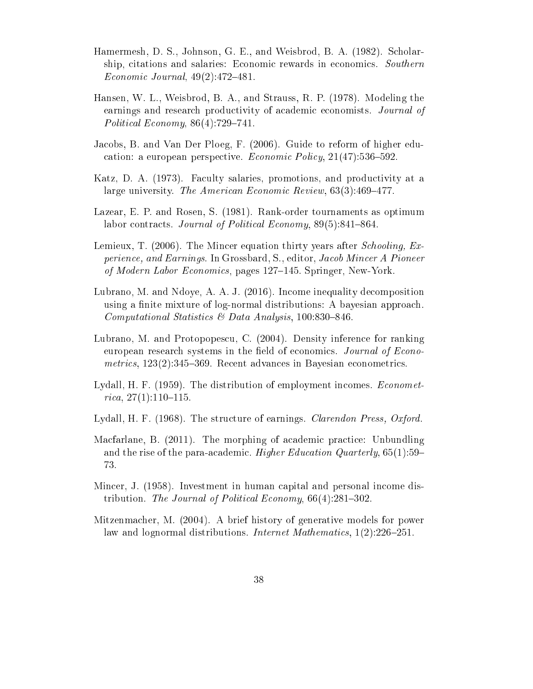- <span id="page-38-5"></span>Hamermesh, D. S., Johnson, G. E., and Weisbrod, B. A. (1982). Scholarship, citations and salaries: Economic rewards in economics. Southern Economic Journal,  $49(2)$ : $472-481$ .
- <span id="page-38-7"></span>Hansen, W. L., Weisbrod, B. A., and Strauss, R. P. (1978). Modeling the earnings and research productivity of academic economists. Journal of Political Economy,  $86(4)$ :729-741.
- <span id="page-38-0"></span>Jacobs, B. and Van Der Ploeg, F. (2006). Guide to reform of higher education: a european perspective. *Economic Policy*,  $21(47)$ :536-592.
- <span id="page-38-6"></span>Katz, D. A. (1973). Faculty salaries, promotions, and productivity at a large university. The American Economic Review,  $63(3):469-477$ .
- <span id="page-38-1"></span>Lazear, E. P. and Rosen, S. (1981). Rank-order tournaments as optimum labor contracts. Journal of Political Economy,  $89(5):841-864$ .
- <span id="page-38-4"></span>Lemieux, T. (2006). The Mincer equation thirty years after *Schooling*, Experience, and Earnings. In Grossbard, S., editor, Jacob Mincer A Pioneer of Modern Labor Economics, pages 127–145. Springer, New-York.
- <span id="page-38-12"></span>Lubrano, M. and Ndoye, A. A. J. (2016). Income inequality decomposition using a finite mixture of log-normal distributions: A bayesian approach. Computational Statistics & Data Analysis, 100:830-846.
- <span id="page-38-11"></span>Lubrano, M. and Protopopescu, C. (2004). Density inference for ranking european research systems in the field of economics. Journal of Econometrics,  $123(2)$ :345-369. Recent advances in Bayesian econometrics.
- <span id="page-38-8"></span>Lydall, H. F. (1959). The distribution of employment incomes. *Economet*rica,  $27(1):110-115$ .
- <span id="page-38-9"></span>Lydall, H. F. (1968). The structure of earnings. *Clarendon Press, Oxford*.
- <span id="page-38-2"></span>Macfarlane, B. (2011). The morphing of academic practice: Unbundling and the rise of the para-academic. Higher Education Quarterly,  $65(1):59-$ 73.
- <span id="page-38-3"></span>Mincer, J. (1958). Investment in human capital and personal income distribution. The Journal of Political Economy,  $66(4):281-302$ .
- <span id="page-38-10"></span>Mitzenmacher, M. (2004). A brief history of generative models for power law and lognormal distributions. *Internet Mathematics*,  $1(2):226-251$ .